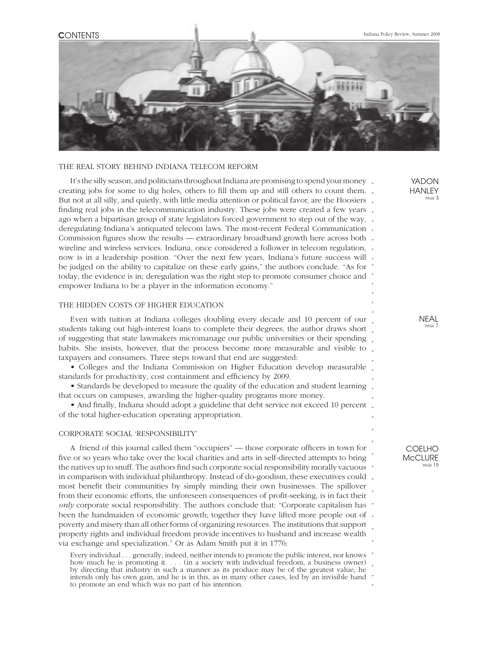

#### THE REAL STORY BEHIND INDIANA TELECOM REFORM

It's the silly season, and politicians throughout Indiana are promising to spend your money. creating jobs for some to dig holes, others to fill them up and still others to count them. . But not at all silly, and quietly, with little media attention or political favor, are the Hoosiers . finding real jobs in the telecommunication industry. These jobs were created a few years . ago when a bipartisan group of state legislators forced government to step out of the way, . *.* deregulating Indiana's antiquated telecom laws. The most-recent Federal Communication Commission figures show the results — extraordinary broadband growth here across both . *. . . . . .* wireline and wireless services. Indiana, once considered a follower in telecom regulation, now is in a leadership position. "Over the next few years, Indiana's future success will be judged on the ability to capitalize on these early gains," the authors conclude. "As for today, the evidence is in; deregulation was the right step to promote consumer choice and empower Indiana to be a player in the information economy."

### THE HIDDEN COSTS OF HIGHER EDUCATION

*.* students taking out high-interest loans to complete their degrees, the author draws short Even with tuition at Indiana colleges doubling every decade and 10 percent of our of suggesting that state lawmakers micromanage our public universities or their spending habits. She insists, however, that the process become more measurable and visible to taxpayers and consumers. Three steps toward that end are suggested:

• Colleges and the Indiana Commission on Higher Education develop measurable standards for productivity, cost containment and efficiency by 2009.

• Standards be developed to measure the quality of the education and student learning that occurs on campuses, awarding the higher-quality programs more money.

• And finally, Indiana should adopt a guideline that debt service not exceed 10 percent of the total higher-education operating appropriation.

### CORPORATE SOCIAL 'RESPONSIBILITY'

been the handmaiden of economic growth; together they have lifted more people out of . A friend of this journal called them "occupiers" — those corporate officers in town for five or so years who take over the local charities and arts in self-directed attempts to bring the natives up to snuff. The authors find such corporate social responsibility morally vacuous in comparison with individual philanthropy. Instead of do-goodism, these executives could most benefit their communities by simply minding their own businesses. The spillover from their economic efforts, the unforeseen consequences of profit-seeking, is in fact their *only* corporate social responsibility. The authors conclude that: "Corporate capitalism has poverty and misery than all other forms of organizing resources. The institutions that support property rights and individual freedom provide incentives to husband and increase wealth via exchange and specialization." Or as Adam Smith put it in 1776:

Every individual . . . generally, indeed, neither intends to promote the public interest, nor knows how much he is promoting it. . . . (in a society with individual freedom, a business owner) by directing that industry in such a manner as its produce may be of the greatest value, he intends only his own gain, and he is in this, as in many other cases, led by an invisible hand to promote an end which was no part of his intention.

PAGE 7

NEAL

YADON **HANLEY** PAGE 3

*. . .*

*. . . . . . . . . . . . . . . .*

*. . . . . .*

COELHO **McCLURE** PAGE 15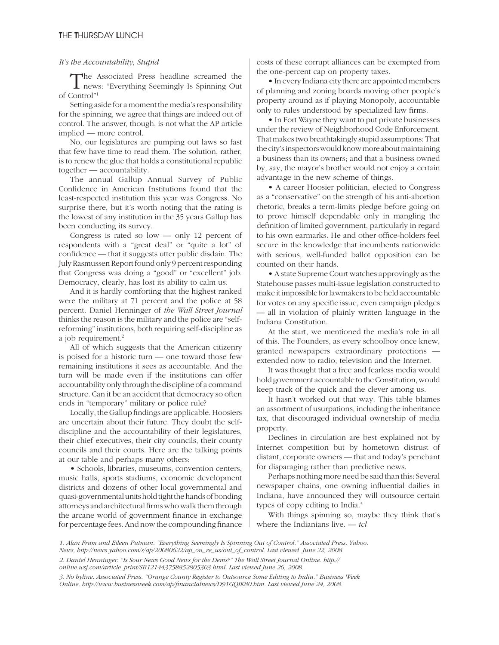# *It's the Accountability, Stupid*

The Associated Press headline screamed the news: "Everything Seemingly Is Spinning Out of Control"1

Setting aside for a moment the media's responsibility for the spinning, we agree that things are indeed out of control. The answer, though, is not what the AP article implied — more control.

No, our legislatures are pumping out laws so fast that few have time to read them. The solution, rather, is to renew the glue that holds a constitutional republic together — accountability.

The annual Gallup Annual Survey of Public Confidence in American Institutions found that the least-respected institution this year was Congress. No surprise there, but it's worth noting that the rating is the lowest of any institution in the 35 years Gallup has been conducting its survey.

Congress is rated so  $low$  — only 12 percent of respondents with a "great deal" or "quite a lot" of confidence — that it suggests utter public disdain. The July Rasmussen Report found only 9 percent responding that Congress was doing a "good" or "excellent" job. Democracy, clearly, has lost its ability to calm us.

And it is hardly comforting that the highest ranked were the military at 71 percent and the police at 58 percent. Daniel Henninger of *the Wall Street Journal*  thinks the reason is the military and the police are "selfreforming" institutions, both requiring self-discipline as a job requirement.<sup>2</sup>

All of which suggests that the American citizenry is poised for a historic turn — one toward those few remaining institutions it sees as accountable. And the turn will be made even if the institutions can offer accountability only through the discipline of a command structure. Can it be an accident that democracy so often ends in "temporary" military or police rule?

Locally, the Gallup findings are applicable. Hoosiers are uncertain about their future. They doubt the selfdiscipline and the accountability of their legislatures, their chief executives, their city councils, their county councils and their courts. Here are the talking points at our table and perhaps many others:

• Schools, libraries, museums, convention centers, music halls, sports stadiums, economic development districts and dozens of other local governmental and quasi-governmental units hold tight the hands of bonding attorneys and architectural firms who walk them through the arcane world of government finance in exchange for percentage fees. And now the compounding finance costs of these corrupt alliances can be exempted from the one-percent cap on property taxes.

• In every Indiana city there are appointed members of planning and zoning boards moving other people's property around as if playing Monopoly, accountable only to rules understood by specialized law firms.

• In Fort Wayne they want to put private businesses under the review of Neighborhood Code Enforcement. That makes two breathtakingly stupid assumptions: That the city's inspectors would know more about maintaining a business than its owners; and that a business owned by, say, the mayor's brother would not enjoy a certain advantage in the new scheme of things.

• A career Hoosier politician, elected to Congress as a "conservative" on the strength of his anti-abortion rhetoric, breaks a term-limits pledge before going on to prove himself dependable only in mangling the definition of limited government, particularly in regard to his own earmarks. He and other office-holders feel secure in the knowledge that incumbents nationwide with serious, well-funded ballot opposition can be counted on their hands.

• A state Supreme Court watches approvingly as the Statehouse passes multi-issue legislation constructed to make it impossible for lawmakers to be held accountable for votes on any specific issue, even campaign pledges — all in violation of plainly written language in the Indiana Constitution.

At the start, we mentioned the media's role in all of this. The Founders, as every schoolboy once knew, granted newspapers extraordinary protections extended now to radio, television and the Internet.

It was thought that a free and fearless media would hold government accountable to the Constitution, would keep track of the quick and the clever among us.

It hasn't worked out that way. This table blames an assortment of usurpations, including the inheritance tax, that discouraged individual ownership of media property.

Declines in circulation are best explained not by Internet competition but by hometown distrust of distant, corporate owners — that and today's penchant for disparaging rather than predictive news.

Perhaps nothing more need be said than this: Several newspaper chains, one owning influential dailies in Indiana, have announced they will outsource certain types of copy editing to India.3

With things spinning so, maybe they think that's where the Indianians live. — *tcl*

*News, http://news.yahoo.com/s/ap/20080622/ap\_on\_re\_us/out\_of\_control. Last viewed June 22, 2008. 2. Daniel Henninger. "Is Sour News Good News for the Dems?" The Wall Street Journal Online. http:// online.wsj.com/article\_print/SB121443758852805303.html. Last viewed June 26, 2008.*

*<sup>1.</sup> Alan Fram and Eileen Putman. "Everything Seemingly Is Spinning Out of Control." Associated Press. Yahoo.*

*<sup>3.</sup> No byline. Associated Press. "Orange County Register to Outsource Some Editing to India." Business Week Online. http://www.businessweek.com/ap/fi nancialnews/D91GQIK80.htm. Last viewed June 24, 2008.*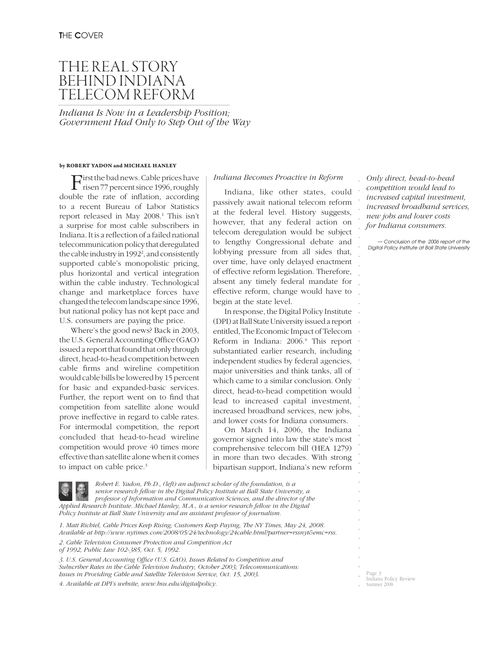# THE REAL STORY BEHIND INDIANA TELECOM REFORM

*Indiana Is Now in a Leadership Position; Government Had Only to Step Out of the Way*

#### **by ROBERT YADON and MICHAEL HANLEY**

First the bad news. Cable prices have<br>risen 77 percent since 1996, roughly double the rate of inflation, according to a recent Bureau of Labor Statistics report released in May 2008.<sup>1</sup> This isn't a surprise for most cable subscribers in Indiana. It is a reflection of a failed national telecommunication policy that deregulated the cable industry in 1992<sup>2</sup>, and consistently supported cable's monopolistic pricing, plus horizontal and vertical integration within the cable industry. Technological change and marketplace forces have changed the telecom landscape since 1996, but national policy has not kept pace and U.S. consumers are paying the price.

Where's the good news? Back in 2003, the U.S. General Accounting Office (GAO) issued a report that found that only through direct, head-to-head competition between cable firms and wireline competition would cable bills be lowered by 15 percent for basic and expanded-basic services. Further, the report went on to find that competition from satellite alone would prove ineffective in regard to cable rates. For intermodal competition, the report concluded that head-to-head wireline competition would prove 40 times more effective than satellite alone when it comes to impact on cable price.<sup>3</sup>

#### *Indiana Becomes Proactive in Reform*

Indiana, like other states, could passively await national telecom reform at the federal level. History suggests, however, that any federal action on telecom deregulation would be subject to lengthy Congressional debate and lobbying pressure from all sides that, over time, have only delayed enactment of effective reform legislation. Therefore, absent any timely federal mandate for effective reform, change would have to begin at the state level.

. . . . . . . . . . . . . In response, the Digital Policy Institute (DPI) at Ball State University issued a report entitled, The Economic Impact of Telecom Reform in Indiana: 2006.<sup>4</sup> This report substantiated earlier research, including independent studies by federal agencies, major universities and think tanks, all of which came to a similar conclusion. Only direct, head-to-head competition would lead to increased capital investment, increased broadband services, new jobs, and lower costs for Indiana consumers.

On March 14, 2006, the Indiana governor signed into law the state's most comprehensive telecom bill (HEA 1279) in more than two decades. With strong bipartisan support, Indiana's new reform

*Only direct, head-to-head competition would lead to increased capital investment, increased broadband services, new jobs and lower costs for Indiana consumers.*

. . . . . . . . . . . . . .

. . . . . . . . . . . . . .

*— Conclusion of the 2006 report of the Digital Policy Institute at Ball State University* 

*Robert E. Yadon, Ph.D., (left) an adjunct scholar of the foundation, is a senior research fellow in the Digital Policy Institute at Ball State University, a professor of Information and Communication Sciences, and the director of the Applied Research Institute. Michael Hanley, M.A., is a senior research fellow in the Digital Policy Institute at Ball State University and an assistant professor of journalism.*

*1. Matt Richtel, Cable Prices Keep Rising; Customers Keep Paying, The NY Times, May 24, 2008. Available at http://www.nytimes.com/2008/05/24/technology/24cable.html?partner=rssnyt&emc=rss.*

*2. Cable Television Consumer Protection and Competition Act* 

*of 1992, Public Law 102-385, Oct. 5, 1992.*

3. U.S. General Accounting Office (U.S. GAO), Issues Related to Competition and *Subscriber Rates in the Cable Television Industry, October 2003; Telecommunications: Issues in Providing Cable and Satellite Television Service, Oct. 15, 2003.*

*4. Available at DPI's website, www.bsu.edu/digitalpolicy.*

. . . Page 3 Indiana Policy Review Summer 2008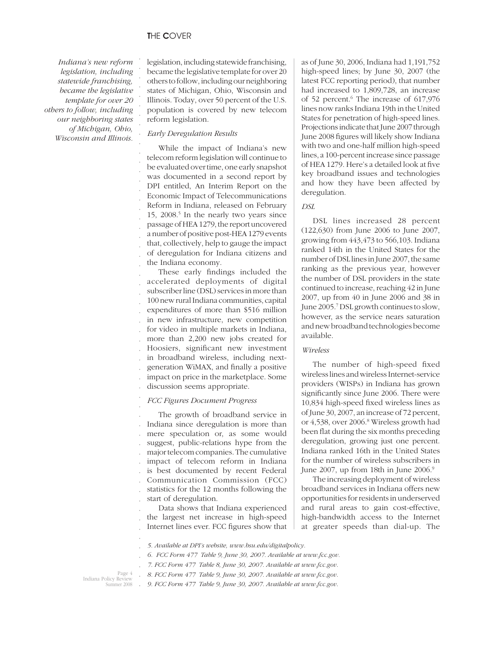. . . . . . . . . . . . . . . . . . . . . .

*Indiana's new reform legislation, including statewide franchising, became the legislative template for over 20 others to follow, including our neighboring states of Michigan, Ohio, Wisconsin and Illinois.*

legislation, including statewide franchising, became the legislative template for over 20 others to follow, including our neighboring states of Michigan, Ohio, Wisconsin and Illinois. Today, over 50 percent of the U.S. population is covered by new telecom reform legislation.

# *Early Deregulation Results*

While the impact of Indiana's new telecom reform legislation will continue to be evaluated over time, one early snapshot was documented in a second report by DPI entitled, An Interim Report on the Economic Impact of Telecommunications Reform in Indiana, released on February 15, 2008.<sup>5</sup> In the nearly two years since passage of HEA 1279, the report uncovered a number of positive post-HEA 1279 events that, collectively, help to gauge the impact of deregulation for Indiana citizens and the Indiana economy.

. . . . . . . . . . . . . . . These early findings included the accelerated deployments of digital subscriber line (DSL) services in more than 100 new rural Indiana communities, capital expenditures of more than \$516 million in new infrastructure, new competition for video in multiple markets in Indiana, more than 2,200 new jobs created for Hoosiers, significant new investment in broadband wireless, including nextgeneration WiMAX, and finally a positive impact on price in the marketplace. Some discussion seems appropriate.

#### . *FCC Figures Document Progress*

. . . . . . . . . . The growth of broadband service in Indiana since deregulation is more than mere speculation or, as some would suggest, public-relations hype from the major telecom companies. The cumulative impact of telecom reform in Indiana is best documented by recent Federal Communication Commission (FCC) statistics for the 12 months following the start of deregulation.

. . . Data shows that Indiana experienced the largest net increase in high-speed Internet lines ever. FCC figures show that as of June 30, 2006, Indiana had 1,191,752 high-speed lines; by June 30, 2007 (the latest FCC reporting period), that number had increased to 1,809,728, an increase of 52 percent.<sup>6</sup> The increase of 617,976 lines now ranks Indiana 19th in the United States for penetration of high-speed lines. Projections indicate that June 2007 through June 2008 figures will likely show Indiana with two and one-half million high-speed lines, a 100-percent increase since passage of HEA 1279. Here's a detailed look at five key broadband issues and technologies and how they have been affected by deregulation.

# *DSL*

DSL lines increased 28 percent (122,630) from June 2006 to June 2007, growing from 443,473 to 566,103. Indiana ranked 14th in the United States for the number of DSL lines in June 2007, the same ranking as the previous year, however the number of DSL providers in the state continued to increase, reaching 42 in June 2007, up from 40 in June 2006 and 38 in June 2005.<sup>7</sup> DSL growth continues to slow, however, as the service nears saturation and new broadband technologies become available.

#### *Wireless*

The number of high-speed fixed wireless lines and wireless Internet-service providers (WISPs) in Indiana has grown significantly since June 2006. There were 10,834 high-speed fixed wireless lines as of June 30, 2007, an increase of 72 percent, or 4,538, over 2006.8 Wireless growth had been flat during the six months preceding deregulation, growing just one percent. Indiana ranked 16th in the United States for the number of wireless subscribers in June 2007, up from 18th in June 2006.<sup>9</sup>

The increasing deployment of wireless broadband services in Indiana offers new opportunities for residents in underserved and rural areas to gain cost-effective, high-bandwidth access to the Internet at greater speeds than dial-up. The

*5. Available at DPI's website, www.bsu.edu/digitalpolicy.*

- *6. FCC Form 477 Table 9, June 30, 2007. Available at www.fcc.gov.*
- *7. FCC Form 477 Table 8, June 30, 2007. Available at www.fcc.gov.*

*8. FCC Form 477 Table 9, June 30, 2007. Available at www.fcc.gov.*

Page 4 Indiana Policy Review Summer 2008 . . . . . .

*9. FCC Form 477 Table 9, June 30, 2007. Available at www.fcc.gov.*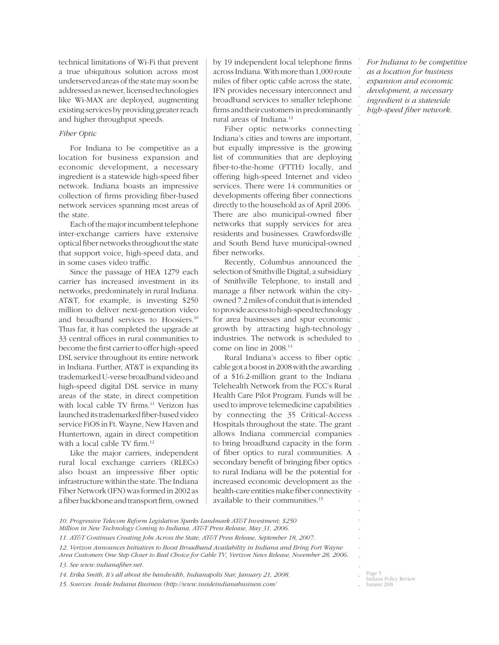technical limitations of Wi-Fi that prevent a true ubiquitous solution across most underserved areas of the state may soon be addressed as newer, licensed technologies like Wi-MAX are deployed, augmenting existing services by providing greater reach and higher throughput speeds.

# *Fiber Optic*

For Indiana to be competitive as a location for business expansion and economic development, a necessary ingredient is a statewide high-speed fiber network. Indiana boasts an impressive collection of firms providing fiber-based network services spanning most areas of the state.

Each of the major incumbent telephone inter-exchange carriers have extensive optical fiber networks throughout the state that support voice, high-speed data, and in some cases video traffic.

Since the passage of HEA 1279 each carrier has increased investment in its networks, predominately in rural Indiana. AT&T, for example, is investing \$250 million to deliver next-generation video and broadband services to Hoosiers.10 Thus far, it has completed the upgrade at 33 central offices in rural communities to become the first carrier to offer high-speed DSL service throughout its entire network in Indiana. Further, AT&T is expanding its trademarked U-verse broadband video and high-speed digital DSL service in many areas of the state, in direct competition with local cable TV firms.<sup>11</sup> Verizon has launched its trademarked fiber-based video service FiOS in Ft. Wayne, New Haven and Huntertown, again in direct competition with a local cable TV firm.<sup>12</sup>

Like the major carriers, independent rural local exchange carriers (RLECs) also boast an impressive fiber optic infrastructure within the state. The Indiana Fiber Network (IFN) was formed in 2002 as a fiber backbone and transport firm, owned by 19 independent local telephone firms across Indiana. With more than 1,000 route miles of fiber optic cable across the state, IFN provides necessary interconnect and broadband services to smaller telephone firms and their customers in predominantly rural areas of Indiana.13

Fiber optic networks connecting Indiana's cities and towns are important, but equally impressive is the growing list of communities that are deploying fiber-to-the-home (FTTH) locally, and offering high-speed Internet and video services. There were 14 communities or developments offering fiber connections directly to the household as of April 2006. There are also municipal-owned fiber networks that supply services for area residents and businesses. Crawfordsville and South Bend have municipal-owned fiber networks.

Recently, Columbus announced the selection of Smithville Digital, a subsidiary of Smithville Telephone, to install and manage a fiber network within the cityowned 7.2 miles of conduit that is intended to provide access to high-speed technology for area businesses and spur economic growth by attracting high-technology industries. The network is scheduled to come on line in 2008.14

. . . . . . . by connecting the 35 Critical-Access . Hospitals throughout the state. The grant . allows Indiana commercial companies . to bring broadband capacity in the form of fiber optics to rural communities. A secondary benefit of bringing fiber optics . . . . . Rural Indiana's access to fiber optic cable got a boost in 2008 with the awarding of a \$16.2-million grant to the Indiana Telehealth Network from the FCC's Rural Health Care Pilot Program. Funds will be used to improve telemedicine capabilities to rural Indiana will be the potential for increased economic development as the health-care entities make fiber connectivity available to their communities.15

*For Indiana to be competitive as a location for business expansion and economic development, a necessary ingredient is a statewide high-speed fi ber network.* 

. . . . . . . . . . . . . . . . . . . . . . . . . . . . . . . .

*10. Progressive Telecom Reform Legislation Sparks Landmark AT&T Investment; \$250 Million in New Technology Coming to Indiana, AT&T Press Release, May 31, 2006.*

- *11. AT&T Continues Creating Jobs Across the State, AT&T Press Release, September 18, 2007.*
- *12. Verizon Announces Initiatives to Boost Broadband Availability in Indiana and Bring Fort Wayne Area Customers One Step Closer to Real Choice for Cable TV, Verizon News Release, November 28, 2006. 13. See www.indianafi ber.net.*
- *14. Erika Smith, It's all about the bandwidth, Indianapolis Star, January 21, 2008.*

*15. Sources: Inside Indiana Business (http://www.insideindianabusiness.com/*

Page 5 Indiana Policy Review ummer 2008

. . . . . . . .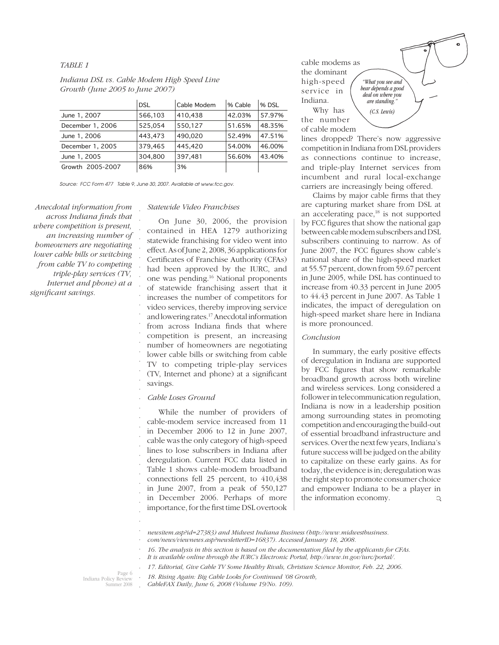#### *TABLE 1*

|                  | <b>DSL</b> | Cable Modem | % Cable | % DSL  |
|------------------|------------|-------------|---------|--------|
| June 1, 2007     | 566,103    | 410,438     | 42.03%  | 57.97% |
| December 1, 2006 | 525,054    | 550,127     | 51.65%  | 48.35% |
| June 1, 2006     | 443,473    | 490,020     | 52.49%  | 47.51% |
| December 1, 2005 | 379,465    | 445,420     | 54.00%  | 46.00% |
| June 1, 2005     | 304.800    | 397,481     | 56.60%  | 43.40% |
| Growth 2005-2007 | 86%        | 3%          |         |        |

# *Indiana DSL vs. Cable Modem High Speed Line Growth (June 2005 to June 2007)*

*Source: FCC Form 477 Table 9, June 30, 2007. Available at www.fcc.gov.* 

. . . . . . . . . . . . . . . . . . . . . . . . . . . . . . . . . . . .

*Anecdotal information from across Indiana fi nds that where competition is present, an increasing number of homeowners are negotiating lower cable bills or switching from cable TV to competing triple-play services (TV, Internet and phone) at a*   $significant\ savings.$ 

## *Statewide Video Franchises*

On June 30, 2006, the provision contained in HEA 1279 authorizing statewide franchising for video went into effect. As of June 2, 2008, 36 applications for Certificates of Franchise Authority (CFAs) had been approved by the IURC, and one was pending.16 National proponents of statewide franchising assert that it increases the number of competitors for video services, thereby improving service and lowering rates.17 Anecdotal information from across Indiana finds that where competition is present, an increasing number of homeowners are negotiating lower cable bills or switching from cable TV to competing triple-play services (TV, Internet and phone) at a significant savings.

#### *Cable Loses Ground*

While the number of providers of cable-modem service increased from 11 in December 2006 to 12 in June 2007, cable was the only category of high-speed lines to lose subscribers in Indiana after deregulation. Current FCC data listed in Table 1 shows cable-modem broadband connections fell 25 percent, to 410,438 in June 2007, from a peak of 550,127 in December 2006. Perhaps of more importance, for the first time DSL overtook cable modems as the dominant high-speed service in Indiana. Why has

*hear depends a good deal on where you are standing." (C.S. Lewis)*

the number of cable modem

lines dropped? There's now aggressive competition in Indiana from DSL providers as connections continue to increase, and triple-play Internet services from incumbent and rural local-exchange carriers are increasingly being offered.

Claims by major cable firms that they are capturing market share from DSL at an accelerating pace,<sup>18</sup> is not supported by FCC figures that show the national gap between cable modem subscribers and DSL subscribers continuing to narrow. As of June 2007, the FCC figures show cable's national share of the high-speed market at 55.57 percent, down from 59.67 percent in June 2005, while DSL has continued to increase from 40.33 percent in June 2005 to 44.43 percent in June 2007. As Table 1 indicates, the impact of deregulation on high-speed market share here in Indiana is more pronounced.

#### *Conclusion*

In summary, the early positive effects of deregulation in Indiana are supported by FCC figures that show remarkable broadband growth across both wireline and wireless services. Long considered a follower in telecommunication regulation, Indiana is now in a leadership position among surrounding states in promoting competition and encouraging the build-out of essential broadband infrastructure and services. Over the next few years, Indiana's future success will be judged on the ability to capitalize on these early gains. As for today, the evidence is in; deregulation was the right step to promote consumer choice and empower Indiana to be a player in the information economy.  $\mathsf{Q}$ 

*newsitem.asp?id=27383) and Midwest Indiana Business (http://www.midwestbusiness.*

- *It is available online through the IURC's Electronic Portal, http://www.in.gov/iurc/portal/.*
- *17. Editorial, Give Cable TV Some Healthy Rivals, Christian Science Monitor, Feb. 22, 2006.*

Page 6 Indiana Policy Review Summer 2008

.

*18. Rising Again: Big Cable Looks for Continued '08 Growth, CableFAX Daily, June 6, 2008 (Volume 19/No. 109).* . .

*"What you see and* 

*com/news/viewnews.asp?newsletterID=16837). Accessed January 18, 2008.*

<sup>16.</sup> The analysis in this section is based on the documentation filed by the applicants for CFAs. . .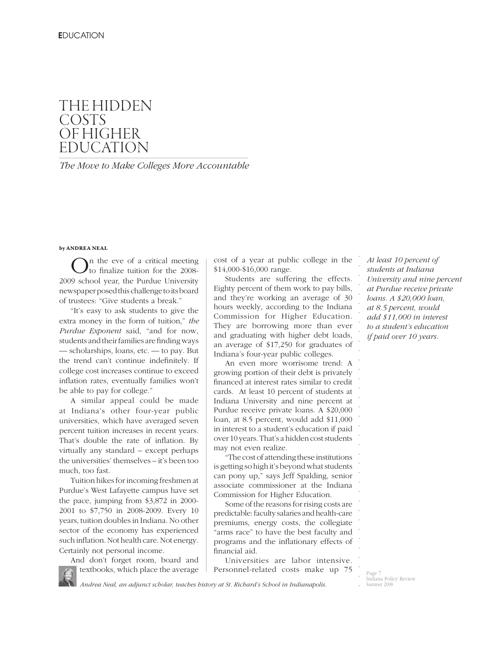# THE HIDDEN **COSTS** OF HIGHER EDUCATION

*The Move to Make Colleges More Accountable*

#### **by ANDREA NEAL**

On the eve of a critical meeting to finalize tuition for the 2008-2009 school year, the Purdue University newspaper posed this challenge to its board of trustees: "Give students a break."

"It's easy to ask students to give the extra money in the form of tuition," *the Purdue Exponent* said, "and for now, students and their families are finding ways — scholarships, loans, etc. — to pay. But the trend can't continue indefinitely. If college cost increases continue to exceed inflation rates, eventually families won't be able to pay for college."

A similar appeal could be made at Indiana's other four-year public universities, which have averaged seven percent tuition increases in recent years. That's double the rate of inflation. By virtually any standard – except perhaps the universities' themselves – it's been too much, too fast.

Tuition hikes for incoming freshmen at Purdue's West Lafayette campus have set the pace, jumping from \$3,872 in 2000- 2001 to \$7,750 in 2008-2009. Every 10 years, tuition doubles in Indiana. No other sector of the economy has experienced such inflation. Not health care. Not energy. Certainly not personal income.

And don't forget room, board and textbooks, which place the average cost of a year at public college in the \$14,000-\$16,000 range.

Students are suffering the effects. Eighty percent of them work to pay bills, and they're working an average of 30 hours weekly, according to the Indiana Commission for Higher Education. They are borrowing more than ever and graduating with higher debt loads, an average of \$17,250 for graduates of Indiana's four-year public colleges.

An even more worrisome trend: A growing portion of their debt is privately financed at interest rates similar to credit cards. At least 10 percent of students at Indiana University and nine percent at Purdue receive private loans. A \$20,000 loan, at 8.5 percent, would add \$11,000 in interest to a student's education if paid over 10 years. That's a hidden cost students may not even realize.

"The cost of attending these institutions is getting so high it's beyond what students can pony up," says Jeff Spalding, senior associate commissioner at the Indiana Commission for Higher Education.

Some of the reasons for rising costs are predictable: faculty salaries and health-care premiums, energy costs, the collegiate "arms race" to have the best faculty and programs and the inflationary effects of financial aid.

Universities are labor intensive. Personnel-related costs make up 75 *At least 10 percent of students at Indiana University and nine percent at Purdue receive private loans. A \$20,000 loan, at 8.5 percent, would add \$11,000 in interest to a student's education if paid over 10 years.* 

. . . . . . . . . . . . . . . . . . . . . . . . . . . . . . . . . . . .

*Andrea Neal, an adjunct scholar, teaches history at St. Richard's School in Indianapolis.*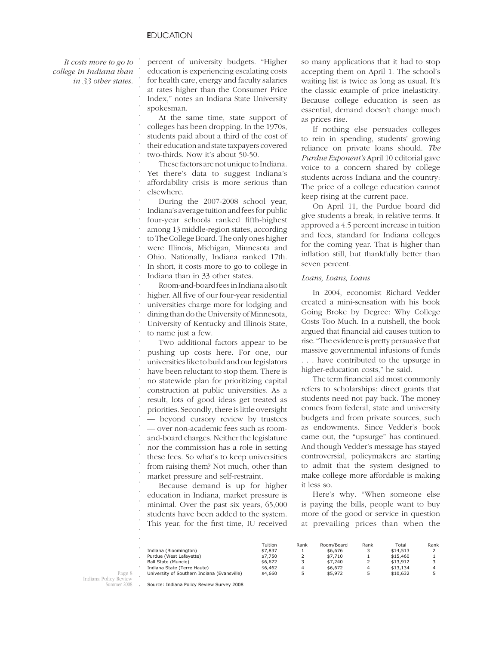. . . . . .

*It costs more to go to college in Indiana than in 33 other states.* 

percent of university budgets. "Higher education is experiencing escalating costs for health care, energy and faculty salaries at rates higher than the Consumer Price Index," notes an Indiana State University spokesman.

At the same time, state support of colleges has been dropping. In the 1970s, students paid about a third of the cost of their education and state taxpayers covered two-thirds. Now it's about 50-50. . . . . .

These factors are not unique to Indiana. Yet there's data to suggest Indiana's affordability crisis is more serious than elsewhere. . . . .

During the 2007-2008 school year, Indiana's average tuition and fees for public four-year schools ranked fifth-highest among 13 middle-region states, according to The College Board. The only ones higher were Illinois, Michigan, Minnesota and Ohio. Nationally, Indiana ranked 17th. In short, it costs more to go to college in Indiana than in 33 other states. . . . . . . . . .

Room-and-board fees in Indiana also tilt higher. All five of our four-year residential universities charge more for lodging and dining than do the University of Minnesota, University of Kentucky and Illinois State, . . . . .

to name just a few. .

Two additional factors appear to be pushing up costs here. For one, our universities like to build and our legislators have been reluctant to stop them. There is no statewide plan for prioritizing capital construction at public universities. As a result, lots of good ideas get treated as priorities. Secondly, there is little oversight — beyond cursory review by trustees — over non-academic fees such as roomand-board charges. Neither the legislature nor the commission has a role in setting these fees. So what's to keep universities from raising them? Not much, other than market pressure and self-restraint. . . . . . . . . . . . . . . . .

Because demand is up for higher education in Indiana, market pressure is minimal. Over the past six years, 65,000 students have been added to the system. This year, for the first time, IU received so many applications that it had to stop accepting them on April 1. The school's waiting list is twice as long as usual. It's the classic example of price inelasticity. Because college education is seen as essential, demand doesn't change much as prices rise.

If nothing else persuades colleges to rein in spending, students' growing reliance on private loans should. *The Purdue Exponent's* April 10 editorial gave voice to a concern shared by college students across Indiana and the country: The price of a college education cannot keep rising at the current pace.

On April 11, the Purdue board did give students a break, in relative terms. It approved a 4.5 percent increase in tuition and fees, standard for Indiana colleges for the coming year. That is higher than inflation still, but thankfully better than seven percent.

#### *Loans, Loans, Loans*

In 2004, economist Richard Vedder created a mini-sensation with his book Going Broke by Degree: Why College Costs Too Much. In a nutshell, the book argued that financial aid causes tuition to rise. "The evidence is pretty persuasive that massive governmental infusions of funds . . . have contributed to the upsurge in higher-education costs," he said.

The term financial aid most commonly refers to scholarships: direct grants that students need not pay back. The money comes from federal, state and university budgets and from private sources, such as endowments. Since Vedder's book came out, the "upsurge" has continued. And though Vedder's message has stayed controversial, policymakers are starting to admit that the system designed to make college more affordable is making it less so.

Here's why. "When someone else is paying the bills, people want to buy more of the good or service in question at prevailing prices than when the

|                                             | Tuition | Rank | Room/Board | Rank | Total    | Rank |
|---------------------------------------------|---------|------|------------|------|----------|------|
| Indiana (Bloomington)                       | \$7,837 |      | \$6,676    |      | \$14,513 |      |
| Purdue (West Lafavette)                     | \$7,750 |      | \$7,710    |      | \$15,460 |      |
| Ball State (Muncie)                         | \$6.672 | 3    | \$7,240    |      | \$13,912 |      |
| Indiana State (Terre Haute)                 | \$6,462 | Δ    | \$6.672    | 4    | \$13,134 |      |
| University of Southern Indiana (Evansville) | \$4,660 | 5    | \$5,972    |      | \$10,632 |      |

Page 8 Indiana Policy Review Summer 2008 . . . . . . . . . . .

Source: Indiana Policy Review Survey 2008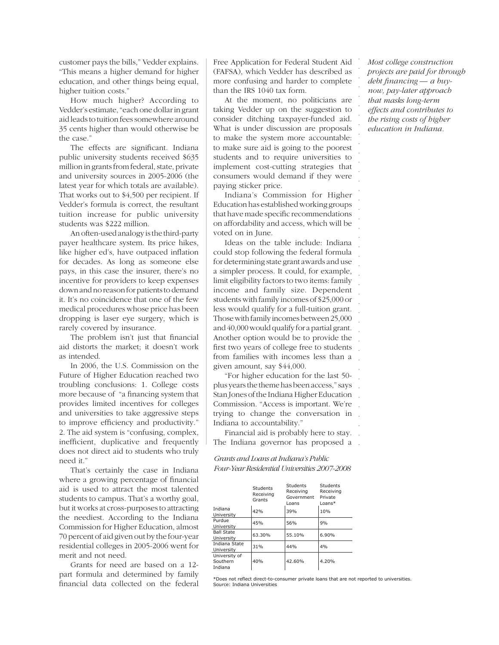customer pays the bills," Vedder explains. "This means a higher demand for higher education, and other things being equal, higher tuition costs."

How much higher? According to Vedder's estimate, "each one dollar in grant aid leads to tuition fees somewhere around 35 cents higher than would otherwise be the case."

The effects are significant. Indiana public university students received \$635 million in grants from federal, state, private and university sources in 2005-2006 (the latest year for which totals are available). That works out to \$4,500 per recipient. If Vedder's formula is correct, the resultant tuition increase for public university students was \$222 million.

An often-used analogy is the third-party payer healthcare system. Its price hikes, like higher ed's, have outpaced inflation for decades. As long as someone else pays, in this case the insurer, there's no incentive for providers to keep expenses down and no reason for patients to demand it. It's no coincidence that one of the few medical procedures whose price has been dropping is laser eye surgery, which is rarely covered by insurance.

The problem isn't just that financial aid distorts the market; it doesn't work as intended.

In 2006, the U.S. Commission on the Future of Higher Education reached two troubling conclusions: 1. College costs more because of "a financing system that provides limited incentives for colleges and universities to take aggressive steps to improve efficiency and productivity." 2. The aid system is "confusing, complex, inefficient, duplicative and frequently does not direct aid to students who truly need it."

That's certainly the case in Indiana where a growing percentage of financial aid is used to attract the most talented students to campus. That's a worthy goal, but it works at cross-purposes to attracting the neediest. According to the Indiana Commission for Higher Education, almost 70 percent of aid given out by the four-year residential colleges in 2005-2006 went for merit and not need.

Grants for need are based on a 12 part formula and determined by family financial data collected on the federal Free Application for Federal Student Aid (FAFSA), which Vedder has described as more confusing and harder to complete than the IRS 1040 tax form.

At the moment, no politicians are taking Vedder up on the suggestion to consider ditching taxpayer-funded aid. What is under discussion are proposals to make the system more accountable: to make sure aid is going to the poorest students and to require universities to implement cost-cutting strategies that consumers would demand if they were paying sticker price.

Indiana's Commission for Higher Education has established working groups that have made specific recommendations on affordability and access, which will be voted on in June.

Ideas on the table include: Indiana could stop following the federal formula for determining state grant awards and use a simpler process. It could, for example, limit eligibility factors to two items: family income and family size. Dependent students with family incomes of \$25,000 or less would qualify for a full-tuition grant. Those with family incomes between 25,000 and 40,000 would qualify for a partial grant. Another option would be to provide the first two years of college free to students from families with incomes less than a given amount, say \$44,000.

"For higher education for the last 50 plus years the theme has been access," says Stan Jones of the Indiana Higher Education Commission. "Access is important. We're trying to change the conversation in Indiana to accountability."

. Financial aid is probably here to stay. . The Indiana governor has proposed a

*Grants and Loans at Indiana's Public Four-Year Residential Universities 2007-2008*

|                                      | Students<br>Receiving<br>Grants | <b>Students</b><br>Receiving<br>Government<br>Loans | Students<br>Receiving<br>Private<br>$Loans*$ |
|--------------------------------------|---------------------------------|-----------------------------------------------------|----------------------------------------------|
| Indiana<br>University                | 42%                             | 39%                                                 | 10%                                          |
| Purdue<br>University                 | 45%                             | 56%                                                 | 9%                                           |
| <b>Ball State</b><br>University      | 63.30%                          | 55.10%                                              | 6.90%                                        |
| Indiana State<br>University          | 31%                             | 44%                                                 | 4%                                           |
| University of<br>Southern<br>Indiana | 40%                             | 42.60%                                              | 4.20%                                        |

. . \*Does not reflect direct-to-consumer private loans that are not reported to universities. Source: Indiana Universitie

*Most college construction projects are paid for through*  debt financing — a buy*now, pay-later approach that masks long-term effects and contributes to the rising costs of higher education in Indiana.*

. . . . . . . . . . . . . . . . . . . . . . . . . . . . . . . . . . . . . . . .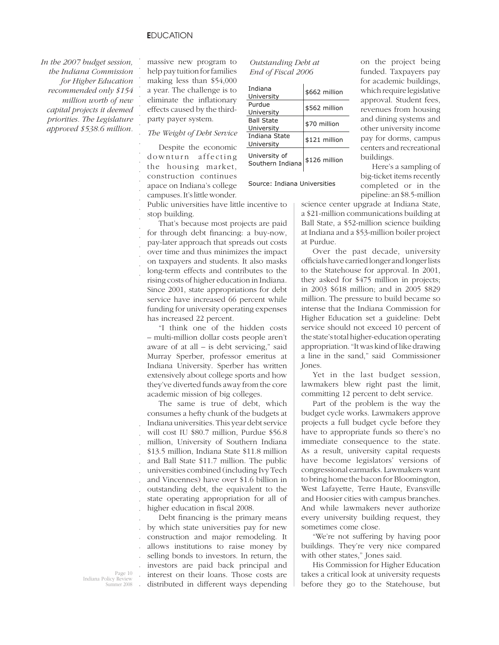. . . . . . . .

. . . . . . .

*In the 2007 budget session, the Indiana Commission for Higher Education recommended only \$154 million worth of new capital projects it deemed priorities. The Legislature approved \$538.6 million.*

massive new program to help pay tuition for families making less than \$54,000 a year. The challenge is to eliminate the inflationary effects caused by the thirdparty payer system.

. . *The Weight of Debt Service*

Despite the economic downturn affecting the housing market, construction continues apace on Indiana's college campuses. It's little wonder.

| Outstanding Debt at |  |
|---------------------|--|
| End of Fiscal 2006  |  |

| Indiana<br>University             | \$662 million |
|-----------------------------------|---------------|
| Purdue<br>University              | \$562 million |
| <b>Ball State</b><br>University   | \$70 million  |
| Indiana State<br>University       | \$121 million |
| University of<br>Southern Indiana | \$126 million |

Source: Indiana Universities

Public universities have little incentive to stop building.

. . . . . . . That's because most projects are paid for through debt financing: a buy-now, pay-later approach that spreads out costs over time and thus minimizes the impact on taxpayers and students. It also masks long-term effects and contributes to the rising costs of higher education in Indiana. Since 2001, state appropriations for debt service have increased 66 percent while funding for university operating expenses has increased 22 percent.

"I think one of the hidden costs – multi-million dollar costs people aren't aware of at all – is debt servicing," said Murray Sperber, professor emeritus at Indiana University. Sperber has written extensively about college sports and how they've diverted funds away from the core academic mission of big colleges.

. . . . . . . . . . The same is true of debt, which consumes a hefty chunk of the budgets at Indiana universities. This year debt service will cost IU \$80.7 million, Purdue \$56.8 million, University of Southern Indiana \$13.5 million, Indiana State \$11.8 million and Ball State \$11.7 million. The public universities combined (including Ivy Tech and Vincennes) have over \$1.6 billion in outstanding debt, the equivalent to the state operating appropriation for all of higher education in fiscal 2008.

. . . . . . . . Debt financing is the primary means by which state universities pay for new construction and major remodeling. It allows institutions to raise money by selling bonds to investors. In return, the investors are paid back principal and interest on their loans. Those costs are distributed in different ways depending

on the project being funded. Taxpayers pay for academic buildings, which require legislative approval. Student fees, revenues from housing and dining systems and other university income pay for dorms, campus centers and recreational buildings.

Here's a sampling of big-ticket items recently completed or in the pipeline: an \$8.5-million

science center upgrade at Indiana State, a \$21-million communications building at Ball State, a \$52-million science building at Indiana and a \$53-million boiler project at Purdue.

Over the past decade, university officials have carried longer and longer lists to the Statehouse for approval. In 2001, they asked for \$475 million in projects; in 2003 \$618 million; and in 2005 \$829 million. The pressure to build became so intense that the Indiana Commission for Higher Education set a guideline: Debt service should not exceed 10 percent of the state's total higher-education operating appropriation. "It was kind of like drawing a line in the sand," said Commissioner Jones.

Yet in the last budget session, lawmakers blew right past the limit, committing 12 percent to debt service.

Part of the problem is the way the budget cycle works. Lawmakers approve projects a full budget cycle before they have to appropriate funds so there's no immediate consequence to the state. As a result, university capital requests have become legislators' versions of congressional earmarks. Lawmakers want to bring home the bacon for Bloomington, West Lafayette, Terre Haute, Evansville and Hoosier cities with campus branches. And while lawmakers never authorize every university building request, they sometimes come close.

"We're not suffering by having poor buildings. They're very nice compared with other states," Jones said.

His Commission for Higher Education takes a critical look at university requests before they go to the Statehouse, but

Page 10 Indiana Policy Review Summer 2008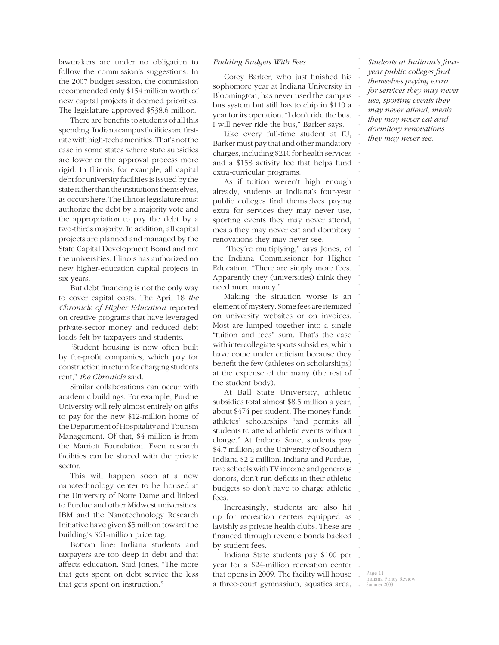lawmakers are under no obligation to follow the commission's suggestions. In the 2007 budget session, the commission recommended only \$154 million worth of new capital projects it deemed priorities. The legislature approved \$538.6 million.

There are benefits to students of all this spending. Indiana campus facilities are firstrate with high-tech amenities. That's not the case in some states where state subsidies are lower or the approval process more rigid. In Illinois, for example, all capital debt for university facilities is issued by the state rather than the institutions themselves, as occurs here. The Illinois legislature must authorize the debt by a majority vote and the appropriation to pay the debt by a two-thirds majority. In addition, all capital projects are planned and managed by the State Capital Development Board and not the universities. Illinois has authorized no new higher-education capital projects in six years.

But debt financing is not the only way to cover capital costs. The April 18 *the Chronicle of Higher Education* reported on creative programs that have leveraged private-sector money and reduced debt loads felt by taxpayers and students.

"Student housing is now often built by for-profit companies, which pay for construction in return for charging students rent," *the Chronicle* said.

Similar collaborations can occur with academic buildings. For example, Purdue University will rely almost entirely on gifts to pay for the new \$12-million home of the Department of Hospitality and Tourism Management. Of that, \$4 million is from the Marriott Foundation. Even research facilities can be shared with the private sector.

This will happen soon at a new nanotechnology center to be housed at the University of Notre Dame and linked to Purdue and other Midwest universities. IBM and the Nanotechnology Research Initiative have given \$5 million toward the building's \$61-million price tag.

Bottom line: Indiana students and taxpayers are too deep in debt and that affects education. Said Jones, "The more that gets spent on debt service the less that gets spent on instruction."

## *Padding Budgets With Fees*

Corey Barker, who just finished his sophomore year at Indiana University in Bloomington, has never used the campus bus system but still has to chip in \$110 a year for its operation. "I don't ride the bus. I will never ride the bus," Barker says.

Like every full-time student at IU, Barker must pay that and other mandatory charges, including \$210 for health services and a \$158 activity fee that helps fund extra-curricular programs.

As if tuition weren't high enough already, students at Indiana's four-year public colleges find themselves paying extra for services they may never use, sporting events they may never attend, meals they may never eat and dormitory renovations they may never see.

"They're multiplying," says Jones, of the Indiana Commissioner for Higher Education. "There are simply more fees. Apparently they (universities) think they need more money."

Making the situation worse is an element of mystery. Some fees are itemized on university websites or on invoices. Most are lumped together into a single "tuition and fees" sum. That's the case with intercollegiate sports subsidies, which have come under criticism because they benefit the few (athletes on scholarships) at the expense of the many (the rest of the student body).

At Ball State University, athletic subsidies total almost \$8.5 million a year, about \$474 per student. The money funds athletes' scholarships "and permits all students to attend athletic events without charge." At Indiana State, students pay \$4.7 million; at the University of Southern Indiana \$2.2 million. Indiana and Purdue, two schools with TV income and generous donors, don't run deficits in their athletic budgets so don't have to charge athletic fees.

Increasingly, students are also hit up for recreation centers equipped as lavishly as private health clubs. These are financed through revenue bonds backed by student fees.

Indiana State students pay \$100 per year for a \$24-million recreation center that opens in 2009. The facility will house a three-court gymnasium, aquatics area,

*Students at Indiana's fouryear public colleges fi nd themselves paying extra for services they may never use, sporting events they may never attend, meals they may never eat and dormitory renovations they may never see.*

. . . . . . . . . . . . . . . . . . . . . . . . . . . . . . . . . . . . . . . . . . . . . . . . . . . . . . . . .

Page 11 Indiana Policy Review Summer 2008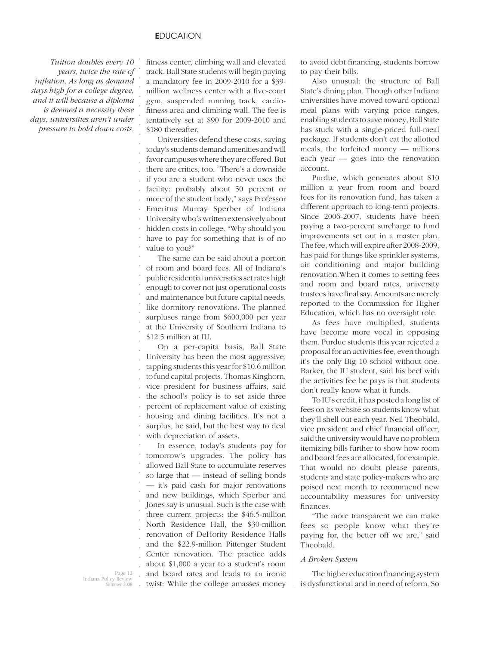. . . . . . . .

*Tuition doubles every 10 years, twice the rate of infl ation. As long as demand stays high for a college degree, and it will because a diploma is deemed a necessity these days, universities aren't under pressure to hold down costs.*

fitness center, climbing wall and elevated track. Ball State students will begin paying a mandatory fee in 2009-2010 for a \$39 million wellness center with a five-court gym, suspended running track, cardiofitness area and climbing wall. The fee is tentatively set at \$90 for 2009-2010 and \$180 thereafter.

. . . . . . . . . . . . . Universities defend these costs, saying today's students demand amenities and will favor campuses where they are offered. But there are critics, too. "There's a downside if you are a student who never uses the facility: probably about 50 percent or more of the student body," says Professor Emeritus Murray Sperber of Indiana University who's written extensively about hidden costs in college. "Why should you have to pay for something that is of no value to you?"

. . . . . . . . . . The same can be said about a portion of room and board fees. All of Indiana's public residential universities set rates high enough to cover not just operational costs and maintenance but future capital needs, like dormitory renovations. The planned surpluses range from \$600,000 per year at the University of Southern Indiana to \$12.5 million at IU.

. . . . . . . . . . . On a per-capita basis, Ball State University has been the most aggressive, tapping students this year for \$10.6 million to fund capital projects. Thomas Kinghorn, vice president for business affairs, said the school's policy is to set aside three percent of replacement value of existing housing and dining facilities. It's not a surplus, he said, but the best way to deal with depreciation of assets.

. . . . . . . . . . . . . . . In essence, today's students pay for tomorrow's upgrades. The policy has allowed Ball State to accumulate reserves so large that — instead of selling bonds — it's paid cash for major renovations and new buildings, which Sperber and Jones say is unusual. Such is the case with three current projects: the \$46.5-million North Residence Hall, the \$30-million renovation of DeHority Residence Halls and the \$22.9-million Pittenger Student Center renovation. The practice adds about \$1,000 a year to a student's room and board rates and leads to an ironic twist: While the college amasses money

to avoid debt financing, students borrow to pay their bills.

Also unusual: the structure of Ball State's dining plan. Though other Indiana universities have moved toward optional meal plans with varying price ranges, enabling students to save money, Ball State has stuck with a single-priced full-meal package. If students don't eat the allotted meals, the forfeited money — millions each year — goes into the renovation account.

Purdue, which generates about \$10 million a year from room and board fees for its renovation fund, has taken a different approach to long-term projects. Since 2006-2007, students have been paying a two-percent surcharge to fund improvements set out in a master plan. The fee, which will expire after 2008-2009, has paid for things like sprinkler systems, air conditioning and major building renovation.When it comes to setting fees and room and board rates, university trustees have final say. Amounts are merely reported to the Commission for Higher Education, which has no oversight role.

As fees have multiplied, students have become more vocal in opposing them. Purdue students this year rejected a proposal for an activities fee, even though it's the only Big 10 school without one. Barker, the IU student, said his beef with the activities fee he pays is that students don't really know what it funds.

To IU's credit, it has posted a long list of fees on its website so students know what they'll shell out each year. Neil Theobald, vice president and chief financial officer, said the university would have no problem itemizing bills further to show how room and board fees are allocated, for example. That would no doubt please parents, students and state policy-makers who are poised next month to recommend new accountability measures for university finances.

"The more transparent we can make fees so people know what they're paying for, the better off we are," said Theobald.

#### *A Broken System*

The higher education financing system is dysfunctional and in need of reform. So

Page 12 Indiana Policy Review  $\frac{1}{2008}$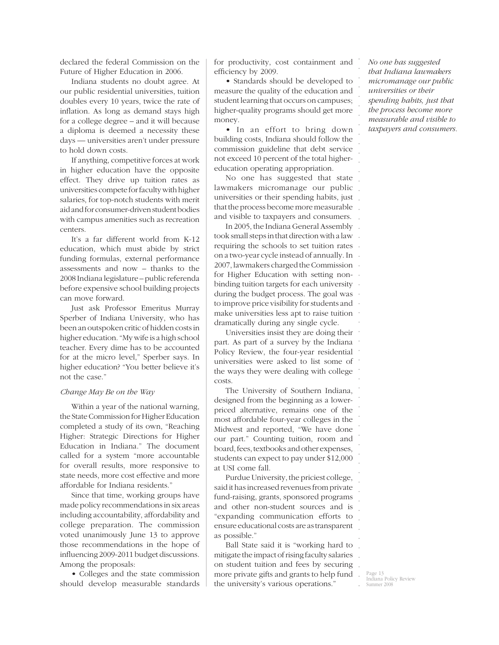declared the federal Commission on the Future of Higher Education in 2006.

Indiana students no doubt agree. At our public residential universities, tuition doubles every 10 years, twice the rate of inflation. As long as demand stays high for a college degree – and it will because a diploma is deemed a necessity these days — universities aren't under pressure to hold down costs.

If anything, competitive forces at work in higher education have the opposite effect. They drive up tuition rates as universities compete for faculty with higher salaries, for top-notch students with merit aid and for consumer-driven student bodies with campus amenities such as recreation centers.

It's a far different world from K-12 education, which must abide by strict funding formulas, external performance assessments and now – thanks to the 2008 Indiana legislature – public referenda before expensive school building projects can move forward.

Just ask Professor Emeritus Murray Sperber of Indiana University, who has been an outspoken critic of hidden costs in higher education. "My wife is a high school teacher. Every dime has to be accounted for at the micro level," Sperber says. In higher education? "You better believe it's not the case."

#### *Change May Be on the Way*

Within a year of the national warning, the State Commission for Higher Education completed a study of its own, "Reaching Higher: Strategic Directions for Higher Education in Indiana." The document called for a system "more accountable for overall results, more responsive to state needs, more cost effective and more affordable for Indiana residents."

Since that time, working groups have made policy recommendations in six areas including accountability, affordability and college preparation. The commission voted unanimously June 13 to approve those recommendations in the hope of influencing 2009-2011 budget discussions. Among the proposals:

• Colleges and the state commission should develop measurable standards

for productivity, cost containment and efficiency by 2009.

• Standards should be developed to measure the quality of the education and student learning that occurs on campuses; higher-quality programs should get more money.

• In an effort to bring down building costs, Indiana should follow the commission guideline that debt service not exceed 10 percent of the total highereducation operating appropriation.

. . . . . and visible to taxpayers and consumers. No one has suggested that state lawmakers micromanage our public universities or their spending habits, just that the process become more measurable

. In 2005, the Indiana General Assembly . took small steps in that direction with a law . requiring the schools to set tuition rates . on a two-year cycle instead of annually. In . 2007, lawmakers charged the Commission . for Higher Education with setting non-. binding tuition targets for each university . during the budget process. The goal was . to improve price visibility for students and make universities less apt to raise tuition . . dramatically during any single cycle.

Universities insist they are doing their part. As part of a survey by the Indiana Policy Review, the four-year residential universities were asked to list some of the ways they were dealing with college costs.

The University of Southern Indiana, designed from the beginning as a lowerpriced alternative, remains one of the most affordable four-year colleges in the Midwest and reported, "We have done our part." Counting tuition, room and board, fees, textbooks and other expenses, students can expect to pay under \$12,000 at USI come fall.

Purdue University, the priciest college, said it has increased revenues from private fund-raising, grants, sponsored programs and other non-student sources and is "expanding communication efforts to ensure educational costs are as transparent as possible."

. . . . . Ball State said it is "working hard to mitigate the impact of rising faculty salaries on student tuition and fees by securing more private gifts and grants to help fund the university's various operations."

*No one has suggested that Indiana lawmakers micromanage our public universities or their spending habits, just that the process become more measurable and visible to taxpayers and consumers.*

. . . . . . . . . . . . .

. . . . . . . . . . . . . . . . . . . . . .

> Page 13 Indiana Policy Review ummer 2008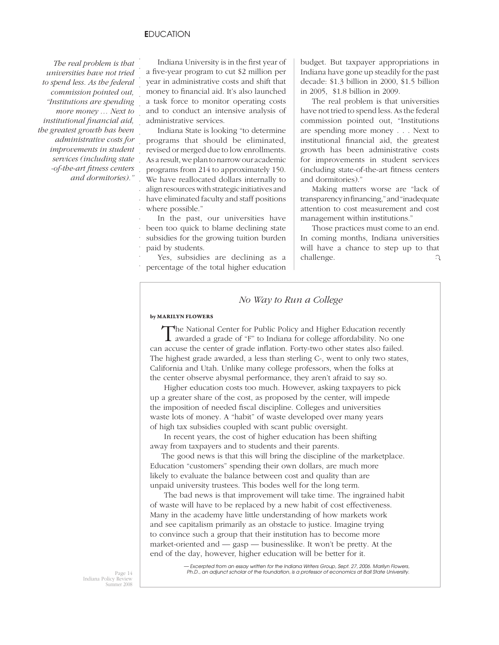. . . . . . . . . . . . . . . . .

. . . . . . . . . . . . . . . . . . . . . . . . . . . . . . . . .

*The real problem is that universities have not tried to spend less. As the federal commission pointed out, "Institutions are spending more money … Next to institutional fi nancial aid, the greatest growth has been administrative costs for improvements in student services (including state -of-the-art fi tness centers and dormitories)."*

Indiana University is in the first year of a five-year program to cut \$2 million per year in administrative costs and shift that money to financial aid. It's also launched a task force to monitor operating costs and to conduct an intensive analysis of administrative services.

Indiana State is looking "to determine programs that should be eliminated, revised or merged due to low enrollments. As a result, we plan to narrow our academic programs from 214 to approximately 150. We have reallocated dollars internally to align resources with strategic initiatives and have eliminated faculty and staff positions where possible."

. . . . In the past, our universities have been too quick to blame declining state subsidies for the growing tuition burden paid by students.

. . Yes, subsidies are declining as a percentage of the total higher education budget. But taxpayer appropriations in Indiana have gone up steadily for the past decade: \$1.3 billion in 2000, \$1.5 billion in 2005, \$1.8 billion in 2009.

The real problem is that universities have not tried to spend less. As the federal commission pointed out, "Institutions are spending more money . . . Next to institutional financial aid, the greatest growth has been administrative costs for improvements in student services (including state-of-the-art fitness centers and dormitories)."

Making matters worse are "lack of transparency in financing," and "inadequate" attention to cost measurement and cost management within institutions."

Those practices must come to an end. In coming months, Indiana universities will have a chance to step up to that challenge. Q

# *No Way to Run a College*

#### **by MARILYN FLOWERS**

The National Center for Public Policy and Higher Education recently awarded a grade of "F" to Indiana for college affordability. No one can accuse the center of grade inflation. Forty-two other states also failed. The highest grade awarded, a less than sterling C-, went to only two states, California and Utah. Unlike many college professors, when the folks at the center observe abysmal performance, they aren't afraid to say so.

 Higher education costs too much. However, asking taxpayers to pick up a greater share of the cost, as proposed by the center, will impede the imposition of needed fiscal discipline. Colleges and universities waste lots of money. A "habit" of waste developed over many years of high tax subsidies coupled with scant public oversight.

 In recent years, the cost of higher education has been shifting away from taxpayers and to students and their parents.

The good news is that this will bring the discipline of the marketplace. Education "customers" spending their own dollars, are much more likely to evaluate the balance between cost and quality than are unpaid university trustees. This bodes well for the long term.

 The bad news is that improvement will take time. The ingrained habit of waste will have to be replaced by a new habit of cost effectiveness. Many in the academy have little understanding of how markets work and see capitalism primarily as an obstacle to justice. Imagine trying to convince such a group that their institution has to become more market-oriented and — gasp — businesslike. It won't be pretty. At the end of the day, however, higher education will be better for it.

*— Excerpted from an essay written for the Indiana Writers Group, Sept. 27, 2006. Marilyn Flowers, Ph.D., an adjunct scholar of the foundation, is a professor of economics at Ball State University.*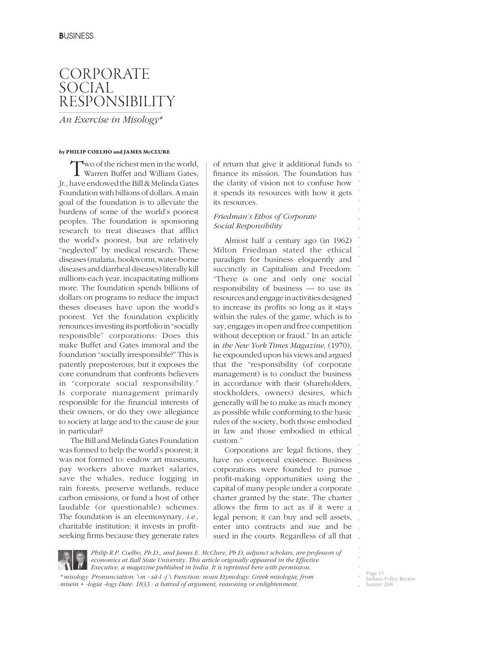# CORPORATE SOCIAL RESPONSIBILITY

*An Exercise in Misology\**

#### **by PHILIP COELHO and JAMES McCLURE**

Two of the richest men in the world, Warren Buffet and William Gates, Jr., have endowed the Bill & Melinda Gates Foundation with billions of dollars. A main goal of the foundation is to alleviate the burdens of some of the world's poorest peoples. The foundation is sponsoring research to treat diseases that afflict the world's poorest, but are relatively "neglected" by medical research. These diseases (malaria, hookworm, water-borne diseases and diarrheal diseases) literally kill millions each year, incapacitating millions more. The foundation spends billions of dollars on programs to reduce the impact theses diseases have upon the world's poorest. Yet the foundation explicitly renounces investing its portfolio in "socially responsible" corporations: Does this make Buffet and Gates immoral and the foundation "socially irresponsible?" This is patently preposterous; but it exposes the core conundrum that confronts believers in "corporate social responsibility." Is corporate management primarily responsible for the financial interests of their owners, or do they owe allegiance to society at large and to the cause de jour in particular?

The Bill and Melinda Gates Foundation was formed to help the world's poorest; it was not formed to: endow art museums, pay workers above market salaries, save the whales, reduce logging in rain forests, preserve wetlands, reduce carbon emissions, or fund a host of other laudable (or questionable) schemes. The foundation is an eleemosynary, *i.e.,*  charitable institution; it invests in profitseeking firms because they generate rates of return that give it additional funds to finance its mission. The foundation has the clarity of vision not to confuse how it spends its resources with how it gets its resources.

. . . . . . . . . . . . . . . . . . . . . . . . . . . . . . . . . . . . . . . . . . . . . .

# *Friedman's Ethos of Corporate Social Responsibility*

Almost half a century ago (in 1962) Milton Friedman stated the ethical paradigm for business eloquently and succinctly in Capitalism and Freedom: "There is one and only one social responsibility of business — to use its resources and engage in activities designed to increase its profits so long as it stays within the rules of the game, which is to say, engages in open and free competition without deception or fraud." In an article in *the New York Times Magazine,* (1970), he expounded upon his views and argued that the "responsibility (of corporate management) is to conduct the business in accordance with their (shareholders, stockholders, owners) desires, which generally will be to make as much money as possible while conforming to the basic rules of the society, both those embodied in law and those embodied in ethical custom."

Corporations are legal fictions, they have no corporeal existence. Business corporations were founded to pursue profit-making opportunities using the capital of many people under a corporate charter granted by the state. The charter allows the firm to act as if it were a legal person; it can buy and sell assets, enter into contracts and sue and be sued in the courts. Regardless of all that



*Philip R.P. Coelho, Ph.D., and James E. McClure, Ph.D, adjunct scholars, are professors of economics at Ball State University. This article originally appeared in the Effective Executive, a magazine published in India. It is reprinted here with permission.*

*\* misology Pronunciation: \m - sä-l -j \ Function: noun Etymology: Greek misologia, from misein + -logia -logy Date: 1833 : a hatred of argument, reasoning or enlightenment.*

Page 15 Indiana Policy Review ummer 2008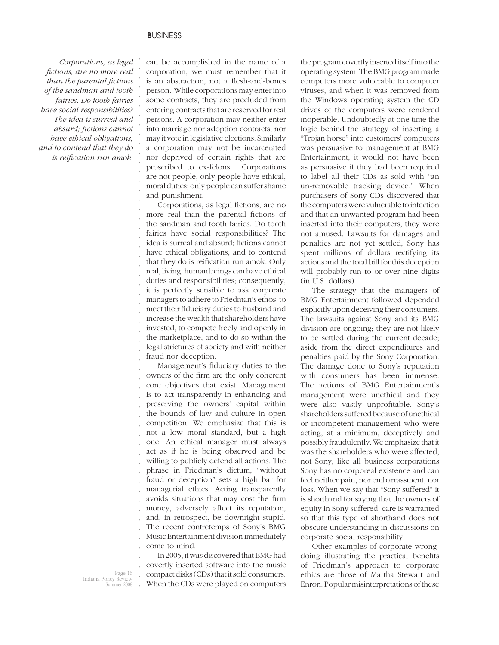# **B**USINESS

. . . . . . . . . . . . . . .

*Corporations, as legal fi ctions, are no more real than the parental fictions of the sandman and tooth fairies. Do tooth fairies have social responsibilities? The idea is surreal and absurd; fi ctions cannot have ethical obligations, and to contend that they do is reification run amok.* 

can be accomplished in the name of a corporation, we must remember that it is an abstraction, not a flesh-and-bones person. While corporations may enter into some contracts, they are precluded from entering contracts that are reserved for real persons. A corporation may neither enter into marriage nor adoption contracts, nor may it vote in legislative elections. Similarly a corporation may not be incarcerated nor deprived of certain rights that are proscribed to ex-felons. Corporations are not people, only people have ethical, moral duties; only people can suffer shame and punishment.

. . . . . . . . . . . . . . . . . Corporations, as legal fictions, are no more real than the parental fictions of the sandman and tooth fairies. Do tooth fairies have social responsibilities? The idea is surreal and absurd; fictions cannot have ethical obligations, and to contend that they do is reification run amok. Only real, living, human beings can have ethical duties and responsibilities; consequently, it is perfectly sensible to ask corporate managers to adhere to Friedman's ethos: to meet their fiduciary duties to husband and increase the wealth that shareholders have invested, to compete freely and openly in the marketplace, and to do so within the legal strictures of society and with neither fraud nor deception.

. . . . . . . . . . . . . . . . . . . . . Management's fiduciary duties to the owners of the firm are the only coherent core objectives that exist. Management is to act transparently in enhancing and preserving the owners' capital within the bounds of law and culture in open competition. We emphasize that this is not a low moral standard, but a high one. An ethical manager must always act as if he is being observed and be willing to publicly defend all actions. The phrase in Friedman's dictum, "without fraud or deception" sets a high bar for managerial ethics. Acting transparently avoids situations that may cost the firm money, adversely affect its reputation, and, in retrospect, be downright stupid. The recent contretemps of Sony's BMG Music Entertainment division immediately come to mind.

. . . . In 2005, it was discovered that BMG had covertly inserted software into the music compact disks (CDs) that it sold consumers. When the CDs were played on computers the program covertly inserted itself into the operating system. The BMG program made computers more vulnerable to computer viruses, and when it was removed from the Windows operating system the CD drives of the computers were rendered inoperable. Undoubtedly at one time the logic behind the strategy of inserting a "Trojan horse" into customers' computers was persuasive to management at BMG Entertainment; it would not have been as persuasive if they had been required to label all their CDs as sold with "an un-removable tracking device." When purchasers of Sony CDs discovered that the computers were vulnerable to infection and that an unwanted program had been inserted into their computers, they were not amused. Lawsuits for damages and penalties are not yet settled, Sony has spent millions of dollars rectifying its actions and the total bill for this deception will probably run to or over nine digits (in U.S. dollars).

The strategy that the managers of BMG Entertainment followed depended explicitly upon deceiving their consumers. The lawsuits against Sony and its BMG division are ongoing; they are not likely to be settled during the current decade; aside from the direct expenditures and penalties paid by the Sony Corporation. The damage done to Sony's reputation with consumers has been immense. The actions of BMG Entertainment's management were unethical and they were also vastly unprofitable. Sony's shareholders suffered because of unethical or incompetent management who were acting, at a minimum, deceptively and possibly fraudulently. We emphasize that it was the shareholders who were affected, not Sony; like all business corporations Sony has no corporeal existence and can feel neither pain, nor embarrassment, nor loss. When we say that "Sony suffered" it is shorthand for saying that the owners of equity in Sony suffered; care is warranted so that this type of shorthand does not obscure understanding in discussions on corporate social responsibility.

Other examples of corporate wrongdoing illustrating the practical benefits of Friedman's approach to corporate ethics are those of Martha Stewart and Enron. Popular misinterpretations of these

Page 16 Indiana Policy Review Summer 2008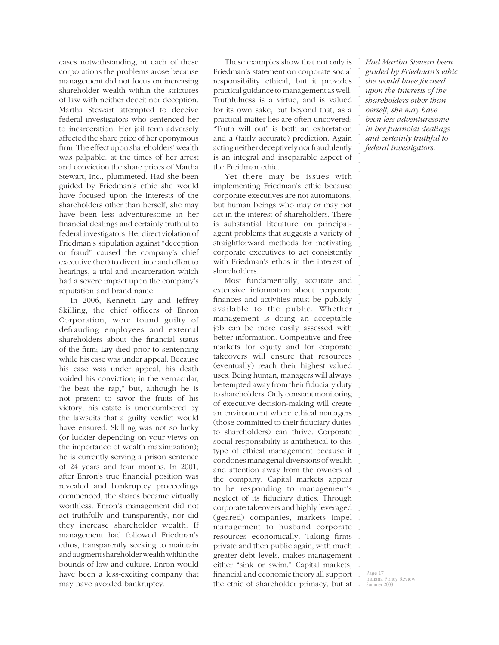cases notwithstanding, at each of these corporations the problems arose because management did not focus on increasing shareholder wealth within the strictures of law with neither deceit nor deception. Martha Stewart attempted to deceive federal investigators who sentenced her to incarceration. Her jail term adversely affected the share price of her eponymous firm. The effect upon shareholders' wealth was palpable: at the times of her arrest and conviction the share prices of Martha Stewart, Inc., plummeted. Had she been guided by Friedman's ethic she would have focused upon the interests of the shareholders other than herself, she may have been less adventuresome in her financial dealings and certainly truthful to federal investigators. Her direct violation of Friedman's stipulation against "deception or fraud" caused the company's chief executive (her) to divert time and effort to hearings, a trial and incarceration which had a severe impact upon the company's reputation and brand name.

In 2006, Kenneth Lay and Jeffrey Skilling, the chief officers of Enron Corporation, were found guilty of defrauding employees and external shareholders about the financial status of the firm; Lay died prior to sentencing while his case was under appeal. Because his case was under appeal, his death voided his conviction; in the vernacular, "he beat the rap," but, although he is not present to savor the fruits of his victory, his estate is unencumbered by the lawsuits that a guilty verdict would have ensured. Skilling was not so lucky (or luckier depending on your views on the importance of wealth maximization); he is currently serving a prison sentence of 24 years and four months. In 2001, after Enron's true financial position was revealed and bankruptcy proceedings commenced, the shares became virtually worthless. Enron's management did not act truthfully and transparently, nor did they increase shareholder wealth. If management had followed Friedman's ethos, transparently seeking to maintain and augment shareholder wealth within the bounds of law and culture, Enron would have been a less-exciting company that may have avoided bankruptcy.

These examples show that not only is Friedman's statement on corporate social responsibility ethical, but it provides practical guidance to management as well. Truthfulness is a virtue, and is valued for its own sake, but beyond that, as a practical matter lies are often uncovered; "Truth will out" is both an exhortation and a (fairly accurate) prediction. Again acting neither deceptively nor fraudulently is an integral and inseparable aspect of the Freidman ethic.

. . . . . . . . . . . Yet there may be issues with implementing Friedman's ethic because corporate executives are not automatons, but human beings who may or may not act in the interest of shareholders. There is substantial literature on principalagent problems that suggests a variety of straightforward methods for motivating corporate executives to act consistently with Friedman's ethos in the interest of shareholders.

. . . . . . . . . . . . . . . . . . . . . . . the company. Capital markets appear . . . . (geared) companies, markets impel . management to husband corporate resources economically. Taking firms . private and then public again, with much . . . . Most fundamentally, accurate and extensive information about corporate finances and activities must be publicly available to the public. Whether management is doing an acceptable job can be more easily assessed with better information. Competitive and free markets for equity and for corporate takeovers will ensure that resources (eventually) reach their highest valued uses. Being human, managers will always be tempted away from their fiduciary duty to shareholders. Only constant monitoring of executive decision-making will create an environment where ethical managers (those committed to their fiduciary duties to shareholders) can thrive. Corporate social responsibility is antithetical to this type of ethical management because it condones managerial diversions of wealth and attention away from the owners of to be responding to management's neglect of its fiduciary duties. Through corporate takeovers and highly leveraged greater debt levels, makes management either "sink or swim." Capital markets, financial and economic theory all support the ethic of shareholder primacy, but at

*Had Martha Stewart been guided by Friedman's ethic she would have focused upon the interests of the shareholders other than herself, she may have been less adventuresome in her fi nancial dealings and certainly truthful to federal investigators.*

. . . . . . . . . . . .

> Page 17 Indiana Policy Review Summer 2008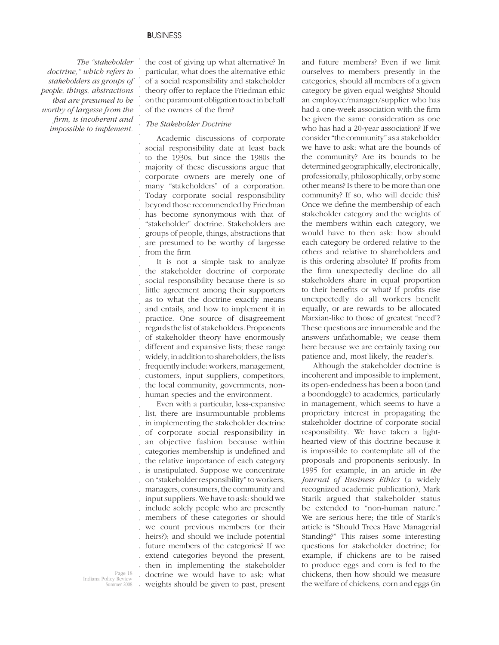. . . . . . . . . . . . . .

 *The "stakeholder doctrine," which refers to stakeholders as groups of people, things, abstractions that are presumed to be worthy of largesse from the fi rm, is incoherent and impossible to implement.*  . . . . . . . the cost of giving up what alternative? In particular, what does the alternative ethic of a social responsibility and stakeholder theory offer to replace the Friedman ethic on the paramount obligation to act in behalf of the owners of the firm?

# *The Stakeholder Doctrine*

Academic discussions of corporate social responsibility date at least back to the 1930s, but since the 1980s the majority of these discussions argue that corporate owners are merely one of many "stakeholders" of a corporation. Today corporate social responsibility beyond those recommended by Friedman has become synonymous with that of "stakeholder" doctrine. Stakeholders are groups of people, things, abstractions that are presumed to be worthy of largesse from the firm

. . . . . . . . . . . . . . . . It is not a simple task to analyze the stakeholder doctrine of corporate social responsibility because there is so little agreement among their supporters as to what the doctrine exactly means and entails, and how to implement it in practice. One source of disagreement regards the list of stakeholders. Proponents of stakeholder theory have enormously different and expansive lists; these range widely, in addition to shareholders, the lists frequently include: workers, management, customers, input suppliers, competitors, the local community, governments, nonhuman species and the environment.

. . . . . . . . . . . . . . . heirs?); and should we include potential . future members of the categories? If we . extend categories beyond the present, . . . Even with a particular, less-expansive list, there are insurmountable problems in implementing the stakeholder doctrine of corporate social responsibility in an objective fashion because within categories membership is undefined and the relative importance of each category is unstipulated. Suppose we concentrate on "stakeholder responsibility" to workers, managers, consumers, the community and input suppliers. We have to ask: should we include solely people who are presently members of these categories or should we count previous members (or their then in implementing the stakeholder doctrine we would have to ask: what weights should be given to past, present

and future members? Even if we limit ourselves to members presently in the categories, should all members of a given category be given equal weights? Should an employee/manager/supplier who has had a one-week association with the firm be given the same consideration as one who has had a 20-year association? If we consider "the community" as a stakeholder we have to ask: what are the bounds of the community? Are its bounds to be determined geographically, electronically, professionally, philosophically, or by some other means? Is there to be more than one community? If so, who will decide this? Once we define the membership of each stakeholder category and the weights of the members within each category, we would have to then ask: how should each category be ordered relative to the others and relative to shareholders and is this ordering absolute? If profits from the firm unexpectedly decline do all stakeholders share in equal proportion to their benefits or what? If profits rise unexpectedly do all workers benefit equally, or are rewards to be allocated Marxian-like to those of greatest "need"? These questions are innumerable and the answers unfathomable; we cease them here because we are certainly taxing our patience and, most likely, the reader's.

Although the stakeholder doctrine is incoherent and impossible to implement, its open-endedness has been a boon (and a boondoggle) to academics, particularly in management, which seems to have a proprietary interest in propagating the stakeholder doctrine of corporate social responsibility. We have taken a lighthearted view of this doctrine because it is impossible to contemplate all of the proposals and proponents seriously. In 1995 for example, in an article in *the Journal of Business Ethics* (a widely recognized academic publication), Mark Starik argued that stakeholder status be extended to "non-human nature." We are serious here; the title of Starik's article is "Should Trees Have Managerial Standing?" This raises some interesting questions for stakeholder doctrine; for example, if chickens are to be raised to produce eggs and corn is fed to the chickens, then how should we measure the welfare of chickens, corn and eggs (in

Page 18 Indiana Policy Review .<br>mmer 2008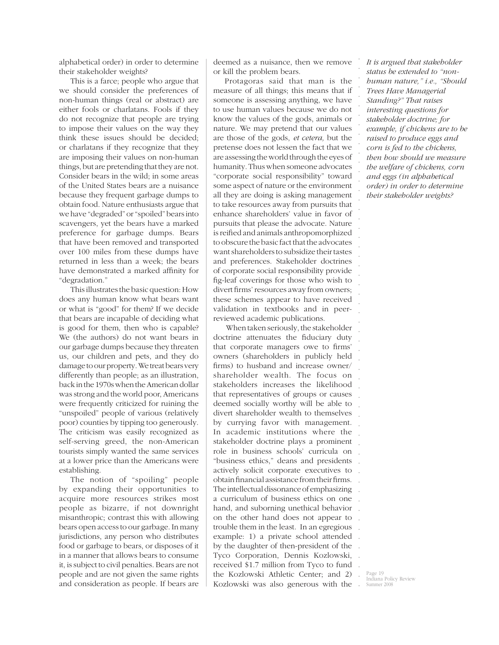alphabetical order) in order to determine their stakeholder weights?

This is a farce; people who argue that we should consider the preferences of non-human things (real or abstract) are either fools or charlatans. Fools if they do not recognize that people are trying to impose their values on the way they think these issues should be decided; or charlatans if they recognize that they are imposing their values on non-human things, but are pretending that they are not. Consider bears in the wild; in some areas of the United States bears are a nuisance because they frequent garbage dumps to obtain food. Nature enthusiasts argue that we have "degraded" or "spoiled" bears into scavengers, yet the bears have a marked preference for garbage dumps. Bears that have been removed and transported over 100 miles from these dumps have returned in less than a week; the bears have demonstrated a marked affinity for "degradation."

This illustrates the basic question: How does any human know what bears want or what is "good" for them? If we decide that bears are incapable of deciding what is good for them, then who is capable? We (the authors) do not want bears in our garbage dumps because they threaten us, our children and pets, and they do damage to our property. We treat bears very differently than people; as an illustration, back in the 1970s when the American dollar was strong and the world poor, Americans were frequently criticized for ruining the "unspoiled" people of various (relatively poor) counties by tipping too generously. The criticism was easily recognized as self-serving greed, the non-American tourists simply wanted the same services at a lower price than the Americans were establishing.

The notion of "spoiling" people by expanding their opportunities to acquire more resources strikes most people as bizarre, if not downright misanthropic; contrast this with allowing bears open access to our garbage. In many jurisdictions, any person who distributes food or garbage to bears, or disposes of it in a manner that allows bears to consume it, is subject to civil penalties. Bears are not people and are not given the same rights and consideration as people. If bears are

deemed as a nuisance, then we remove or kill the problem bears.

Protagoras said that man is the measure of all things; this means that if someone is assessing anything, we have to use human values because we do not know the values of the gods, animals or nature. We may pretend that our values are those of the gods, *et cetera,* but the pretense does not lessen the fact that we are assessing the world through the eyes of humanity. Thus when someone advocates "corporate social responsibility" toward some aspect of nature or the environment all they are doing is asking management to take resources away from pursuits that enhance shareholders' value in favor of pursuits that please the advocate. Nature is reified and animals anthropomorphized to obscure the basic fact that the advocates want shareholders to subsidize their tastes and preferences. Stakeholder doctrines of corporate social responsibility provide fig-leaf coverings for those who wish to divert firms' resources away from owners; these schemes appear to have received validation in textbooks and in peerreviewed academic publications.

. . . . . . . . . . . . . In academic institutions where the . . . . actively solicit corporate executives to . . The intellectual dissonance of emphasizing . . . . trouble them in the least. In an egregious . example: 1) a private school attended . by the daughter of then-president of the . Tyco Corporation, Dennis Kozlowski, . . . When taken seriously, the stakeholder doctrine attenuates the fiduciary duty that corporate managers owe to firms' owners (shareholders in publicly held firms) to husband and increase owner/ shareholder wealth. The focus on stakeholders increases the likelihood that representatives of groups or causes deemed socially worthy will be able to divert shareholder wealth to themselves by currying favor with management. stakeholder doctrine plays a prominent role in business schools' curricula on "business ethics," deans and presidents obtain financial assistance from their firms. a curriculum of business ethics on one hand, and suborning unethical behavior on the other hand does not appear to received \$1.7 million from Tyco to fund the Kozlowski Athletic Center; and 2) Kozlowski was also generous with the

*It is argued that stakeholder status be extended to "nonhuman nature," i.e., "Should Trees Have Managerial Standing?" That raises interesting questions for stakeholder doctrine; for example, if chickens are to be raised to produce eggs and corn is fed to the chickens, then how should we measure the welfare of chickens, corn and eggs (in alphabetical order) in order to determine their stakeholder weights?* 

. . . . . . . . . . . . . . . . . . . . . . . . . . . .

> Page 19 Indiana Policy Review Summer 2008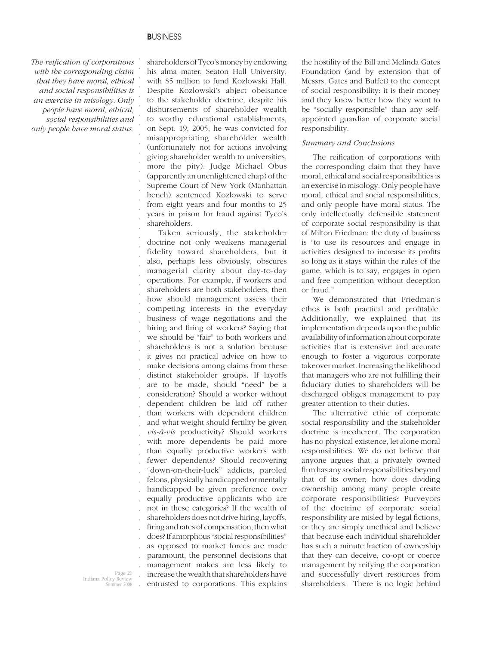. . . . . . . . . . . . . . . . . .

*The reifi cation of corporations with the corresponding claim that they have moral, ethical and social responsibilities is an exercise in misology. Only people have moral, ethical, social responsibilities and only people have moral status.*

shareholders of Tyco's money by endowing his alma mater, Seaton Hall University, with \$5 million to fund Kozlowski Hall. Despite Kozlowski's abject obeisance to the stakeholder doctrine, despite his disbursements of shareholder wealth to worthy educational establishments, on Sept. 19, 2005, he was convicted for misappropriating shareholder wealth (unfortunately not for actions involving giving shareholder wealth to universities, more the pity). Judge Michael Obus (apparently an unenlightened chap) of the Supreme Court of New York (Manhattan bench) sentenced Kozlowski to serve from eight years and four months to 25 years in prison for fraud against Tyco's shareholders.

. . . . . . . . . . . . . . . . . . . . . . . . . . . . . . . . . . . . . . . Taken seriously, the stakeholder doctrine not only weakens managerial fidelity toward shareholders, but it also, perhaps less obviously, obscures managerial clarity about day-to-day operations. For example, if workers and shareholders are both stakeholders, then how should management assess their competing interests in the everyday business of wage negotiations and the hiring and firing of workers? Saying that we should be "fair" to both workers and shareholders is not a solution because it gives no practical advice on how to make decisions among claims from these distinct stakeholder groups. If layoffs are to be made, should "need" be a consideration? Should a worker without dependent children be laid off rather than workers with dependent children and what weight should fertility be given *vis-à-vis* productivity? Should workers with more dependents be paid more than equally productive workers with fewer dependents? Should recovering "down-on-their-luck" addicts, paroled felons, physically handicapped or mentally handicapped be given preference over equally productive applicants who are not in these categories? If the wealth of shareholders does not drive hiring, layoffs, firing and rates of compensation, then what does? If amorphous "social responsibilities" as opposed to market forces are made paramount, the personnel decisions that management makes are less likely to increase the wealth that shareholders have entrusted to corporations. This explains the hostility of the Bill and Melinda Gates Foundation (and by extension that of Messrs. Gates and Buffet) to the concept of social responsibility: it is their money and they know better how they want to be "socially responsible" than any selfappointed guardian of corporate social responsibility.

# *Summary and Conclusions*

The reification of corporations with the corresponding claim that they have moral, ethical and social responsibilities is an exercise in misology. Only people have moral, ethical and social responsibilities, and only people have moral status. The only intellectually defensible statement of corporate social responsibility is that of Milton Friedman: the duty of business is "to use its resources and engage in activities designed to increase its profits so long as it stays within the rules of the game, which is to say, engages in open and free competition without deception or fraud."

We demonstrated that Friedman's ethos is both practical and profitable. Additionally, we explained that its implementation depends upon the public availability of information about corporate activities that is extensive and accurate enough to foster a vigorous corporate takeover market. Increasing the likelihood that managers who are not fulfilling their fiduciary duties to shareholders will be discharged obliges management to pay greater attention to their duties.

The alternative ethic of corporate social responsibility and the stakeholder doctrine is incoherent. The corporation has no physical existence, let alone moral responsibilities. We do not believe that anyone argues that a privately owned firm has any social responsibilities beyond that of its owner; how does dividing ownership among many people create corporate responsibilities? Purveyors of the doctrine of corporate social responsibility are misled by legal fictions, or they are simply unethical and believe that because each individual shareholder has such a minute fraction of ownership that they can deceive, co-opt or coerce management by reifying the corporation and successfully divert resources from shareholders. There is no logic behind

Page 20 Indiana Policy Review Summer 2008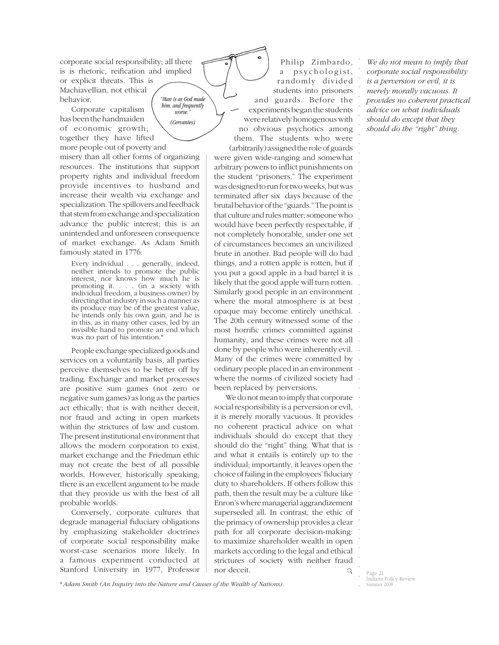*"Man is as God made him, and frequently*  corporate social responsibility; all there is is rhetoric, reification and implied or explicit threats. This is Machiavellian, not ethical behavior.

> $\overline{worse}$ . *(Cervantes)*

Corporate capitalism has been the handmaiden of economic growth; together they have lifted more people out of poverty and

misery than all other forms of organizing resources. The institutions that support property rights and individual freedom provide incentives to husband and increase their wealth via exchange and specialization. The spillovers and feedback that stem from exchange and specialization advance the public interest; this is an unintended and unforeseen consequence of market exchange. As Adam Smith famously stated in 1776:

Every individual . . . generally, indeed, neither intends to promote the public interest, nor knows how much he is promoting it. . . . (in a society with individual freedom, a business owner) by directing that industry in such a manner as its produce may be of the greatest value, he intends only his own gain, and he is in this, as in many other cases, led by an invisible hand to promote an end which was no part of his intention.\*

People exchange specialized goods and services on a voluntarily basis, all parties perceive themselves to be better off by trading. Exchange and market processes are positive sum games (not zero or negative sum games) as long as the parties act ethically; that is with neither deceit, nor fraud and acting in open markets within the strictures of law and custom. The present institutional environment that allows the modern corporation to exist, market exchange and the Friedman ethic may not create the best of all possible worlds. However, historically speaking, there is an excellent argument to be made that they provide us with the best of all probable worlds.

Conversely, corporate cultures that degrade managerial fiduciary obligations by emphasizing stakeholder doctrines of corporate social responsibility make worst-case scenarios more likely. In a famous experiment conducted at Stanford University in 1977, Professor Page 21 and  $Q = \frac{Q}{P^{\alpha\alpha}}$ 

Philip Zimbardo, a psychologist, randomly divided students into prisoners and guards. Before the experiments began the students were relatively homogenous with no obvious psychotics among them. The students who were (arbitrarily) assigned the role of guards

. . . . . . . . . . . . . things, and a rotten apple is rotten, but if . you put a good apple in a bad barrel it is . likely that the good apple will turn rotten. . Similarly good people in an environment . where the moral atmosphere is at best . opaque may become entirely unethical. . The 20th century witnessed some of the most horrific crimes committed against. . humanity, and these crimes were not all . done by people who were inherently evil. Many of the crimes were committed by . ordinary people placed in an environment where the norms of civilized society had . were given wide-ranging and somewhat arbitrary powers to inflict punishments on the student "prisoners." The experiment was designed to run for two weeks, but was terminated after six days because of the brutal behavior of the "guards." The point is that culture and rules matter; someone who would have been perfectly respectable, if not completely honorable, under one set of circumstances becomes an uncivilized brute in another. Bad people will do bad been replaced by perversions.

We do not mean to imply that corporate  $\cdot$ . . social responsibility is a perversion or evil, no coherent practical advice on what . . . . . . . . . . . . . . . . it is merely morally vacuous. It provides individuals should do except that they should do the "right" thing. What that is and what it entails is entirely up to the individual; importantly, it leaves open the choice of failing in the employees' fiduciary duty to shareholders. If others follow this path, then the result may be a culture like Enron's where managerial aggrandizement superseded all. In contrast, the ethic of the primacy of ownership provides a clear path for all corporate decision-making: to maximize shareholder wealth in open markets according to the legal and ethical strictures of society with neither fraud nor deceit.

*We do not mean to imply that corporate social responsibility is a perversion or evil, it is merely morally vacuous. It provides no coherent practical advice on what individuals should do except that they should do the "right" thing.* 

. . . . . . . . . .

*\* Adam Smith (An Inquiry into the Nature and Causes of the Wealth of Nations).*

Indiana Policy Review Summer 2008

.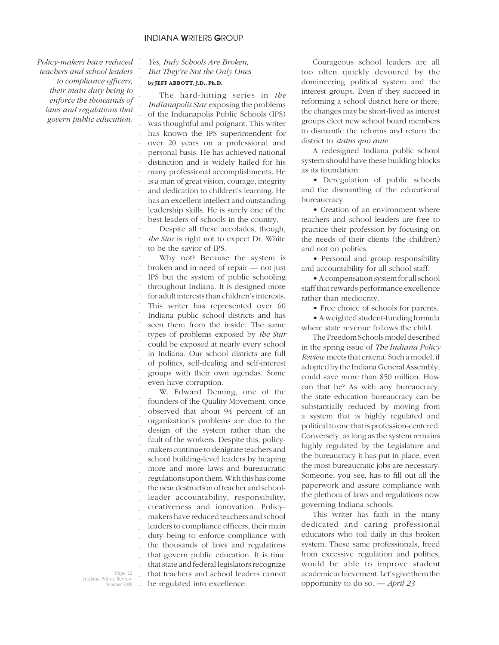# **I**NDIANA **W**RITERS **G**ROUP

. . . . . . . . . . . . . . . . . . . . . . . . . . . . . . . . . . . . . . . . . . . . . . . . . . . . . . . . .

*Policy-makers have reduced teachers and school leaders*  to compliance officers, *their main duty being to enforce the thousands of laws and regulations that govern public education.*

# *Yes, Indy Schools Are Broken, But They're Not the Only Ones*  **by JEFF ABBOTT, J.D., Ph.D.**

The hard-hitting series in *the Indianapolis Star* exposing the problems of the Indianapolis Public Schools (IPS) was thoughtful and poignant. This writer has known the IPS superintendent for over 20 years on a professional and personal basis. He has achieved national distinction and is widely hailed for his many professional accomplishments. He is a man of great vision, courage, integrity and dedication to children's learning. He has an excellent intellect and outstanding leadership skills. He is surely one of the best leaders of schools in the country.

Despite all these accolades, though, *the Star* is right not to expect Dr. White to be the savior of IPS.

Why not? Because the system is broken and in need of repair — not just IPS but the system of public schooling throughout Indiana. It is designed more for adult interests than children's interests. This writer has represented over 60 Indiana public school districts and has seen them from the inside. The same types of problems exposed by *the Star*  could be exposed at nearly every school in Indiana. Our school districts are full of politics, self-dealing and self-interest groups with their own agendas. Some even have corruption.

W. Edward Deming, one of the founders of the Quality Movement, once observed that about 94 percent of an organization's problems are due to the design of the system rather than the fault of the workers. Despite this, policymakers continue to denigrate teachers and school building-level leaders by heaping more and more laws and bureaucratic regulations upon them. With this has come the near destruction of teacher and schoolleader accountability, responsibility, creativeness and innovation. Policymakers have reduced teachers and school leaders to compliance officers, their main duty being to enforce compliance with the thousands of laws and regulations that govern public education. It is time that state and federal legislators recognize that teachers and school leaders cannot be regulated into excellence.

Courageous school leaders are all too often quickly devoured by the domineering political system and the interest groups. Even if they succeed in reforming a school district here or there, the changes may be short-lived as interest groups elect new school board members to dismantle the reforms and return the district to *status quo ante.*

A redesigned Indiana public school system should have these building blocks as its foundation:

• Deregulation of public schools and the dismantling of the educational bureaucracy.

• Creation of an environment where teachers and school leaders are free to practice their profession by focusing on the needs of their clients (the children) and not on politics.

• Personal and group responsibility and accountability for all school staff.

• A compensation system for all school staff that rewards performance excellence rather than mediocrity.

• Free choice of schools for parents.

• A weighted student-funding formula where state revenue follows the child.

The Freedom Schools model described in the spring issue of *The Indiana Policy Review* meets that criteria. Such a model, if adopted by the Indiana General Assembly, could save more than \$50 million. How can that be? As with any bureaucracy, the state education bureaucracy can be substantially reduced by moving from a system that is highly regulated and political to one that is profession-centered. Conversely, as long as the system remains highly regulated by the Legislature and the bureaucracy it has put in place, even the most bureaucratic jobs are necessary. Someone, you see, has to fill out all the paperwork and assure compliance with the plethora of laws and regulations now governing Indiana schools.

This writer has faith in the many dedicated and caring professional educators who toil daily in this broken system. These same professionals, freed from excessive regulation and politics, would be able to improve student academic achievement. Let's give them the opportunity to do so. *— April 23*

Page 22 Indiana Policy Review mmer 2008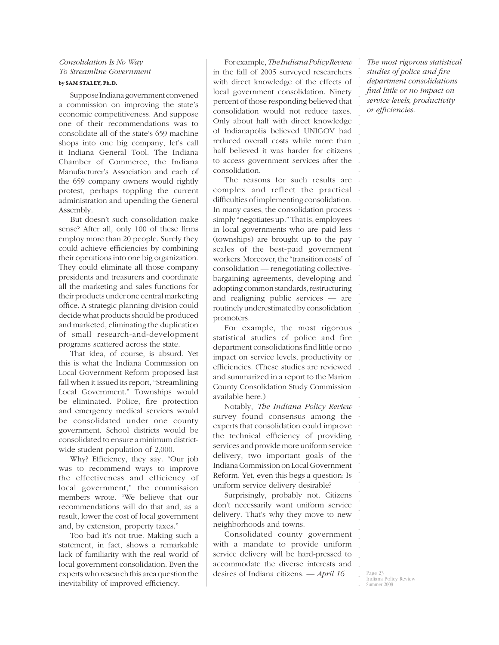# *Consolidation Is No Way To Streamline Government*  **by SAM STALEY, Ph.D.**

Suppose Indiana government convened a commission on improving the state's economic competitiveness. And suppose one of their recommendations was to consolidate all of the state's 659 machine shops into one big company, let's call it Indiana General Tool. The Indiana Chamber of Commerce, the Indiana Manufacturer's Association and each of the 659 company owners would rightly protest, perhaps toppling the current administration and upending the General Assembly.

But doesn't such consolidation make sense? After all, only 100 of these firms employ more than 20 people. Surely they could achieve efficiencies by combining their operations into one big organization. They could eliminate all those company presidents and treasurers and coordinate all the marketing and sales functions for their products under one central marketing office. A strategic planning division could decide what products should be produced and marketed, eliminating the duplication of small research-and-development programs scattered across the state.

That idea, of course, is absurd. Yet this is what the Indiana Commission on Local Government Reform proposed last fall when it issued its report, "Streamlining Local Government." Townships would be eliminated. Police, fire protection and emergency medical services would be consolidated under one county government. School districts would be consolidated to ensure a minimum districtwide student population of 2,000.

Why? Efficiency, they say. "Our job was to recommend ways to improve the effectiveness and efficiency of local government," the commission members wrote. "We believe that our recommendations will do that and, as a result, lower the cost of local government and, by extension, property taxes."

Too bad it's not true. Making such a statement, in fact, shows a remarkable lack of familiarity with the real world of local government consolidation. Even the experts who research this area question the inevitability of improved efficiency.

 in the fall of 2005 surveyed researchers For example, *The Indiana Policy Review* with direct knowledge of the effects of local government consolidation. Ninety percent of those responding believed that consolidation would not reduce taxes. Only about half with direct knowledge of Indianapolis believed UNIGOV had reduced overall costs while more than half believed it was harder for citizens to access government services after the consolidation.

. . . . . . . . . . . . . . . . The reasons for such results are complex and reflect the practical difficulties of implementing consolidation. In many cases, the consolidation process simply "negotiates up." That is, employees in local governments who are paid less (townships) are brought up to the pay scales of the best-paid government workers. Moreover, the "transition costs" of consolidation — renegotiating collectivebargaining agreements, developing and adopting common standards, restructuring and realigning public services — are routinely underestimated by consolidation promoters.

For example, the most rigorous statistical studies of police and fire department consolidations find little or no impact on service levels, productivity or efficiencies. (These studies are reviewed and summarized in a report to the Marion County Consolidation Study Commission available here.)

. . . . . . . . . . Notably, *The Indiana Policy Review* survey found consensus among the experts that consolidation could improve the technical efficiency of providing services and provide more uniform service delivery, two important goals of the Indiana Commission on Local Government Reform. Yet, even this begs a question: Is uniform service delivery desirable?

Surprisingly, probably not. Citizens don't necessarily want uniform service delivery. That's why they move to new neighborhoods and towns.

Consolidated county government with a mandate to provide uniform service delivery will be hard-pressed to accommodate the diverse interests and desires of Indiana citizens. *— April 16*

*The most rigorous statistical*  studies of police and fire *department consolidations fi nd little or no impact on service levels, productivity*   $or$  *efficiencies*.

. . . . . . . . . . . . .

. . . . . . . .

. . . . . . . . . .

Page 23 Indiana Policy Review ummer 2008